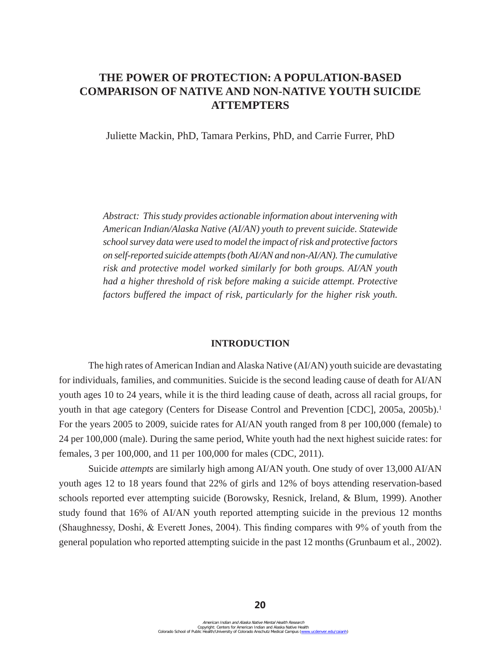# **the power of protection: a population-based comparison of Native and non-native youth suicide attempters**

Juliette Mackin, PhD, Tamara Perkins, PhD, and Carrie Furrer, PhD

*Abstract: This study provides actionable information about intervening with American Indian/Alaska Native (AI/AN) youth to prevent suicide. Statewide school survey data were used to model the impact of risk and protective factors on self-reported suicide attempts (both AI/AN and non-AI/AN). The cumulative risk and protective model worked similarly for both groups. AI/AN youth had a higher threshold of risk before making a suicide attempt. Protective factors buffered the impact of risk, particularly for the higher risk youth.* 

# **Introduction**

The high rates of American Indian and Alaska Native (AI/AN) youth suicide are devastating for individuals, families, and communities. Suicide is the second leading cause of death for AI/AN youth ages 10 to 24 years, while it is the third leading cause of death, across all racial groups, for youth in that age category (Centers for Disease Control and Prevention [CDC], 2005a, 2005b).<sup>1</sup> For the years 2005 to 2009, suicide rates for AI/AN youth ranged from 8 per 100,000 (female) to 24 per 100,000 (male). During the same period, White youth had the next highest suicide rates: for females, 3 per 100,000, and 11 per 100,000 for males (CDC, 2011).

Suicide *attempts* are similarly high among AI/AN youth. One study of over 13,000 AI/AN youth ages 12 to 18 years found that 22% of girls and 12% of boys attending reservation-based schools reported ever attempting suicide (Borowsky, Resnick, Ireland, & Blum, 1999). Another study found that 16% of AI/AN youth reported attempting suicide in the previous 12 months (Shaughnessy, Doshi, & Everett Jones, 2004). This finding compares with 9% of youth from the general population who reported attempting suicide in the past 12 months (Grunbaum et al., 2002).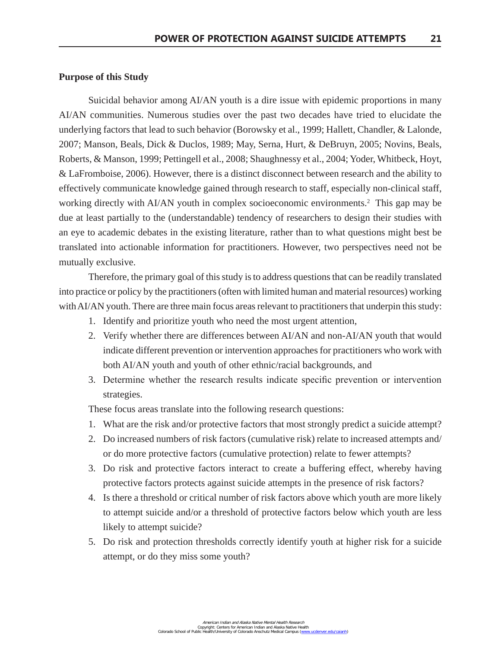# **Purpose of this Study**

Suicidal behavior among AI/AN youth is a dire issue with epidemic proportions in many AI/AN communities. Numerous studies over the past two decades have tried to elucidate the underlying factors that lead to such behavior (Borowsky et al., 1999; Hallett, Chandler, & Lalonde, 2007; Manson, Beals, Dick & Duclos, 1989; May, Serna, Hurt, & DeBruyn, 2005; Novins, Beals, Roberts, & Manson, 1999; Pettingell et al., 2008; Shaughnessy et al., 2004; Yoder, Whitbeck, Hoyt, & LaFromboise, 2006). However, there is a distinct disconnect between research and the ability to effectively communicate knowledge gained through research to staff, especially non-clinical staff, working directly with AI/AN youth in complex socioeconomic environments.<sup>2</sup> This gap may be due at least partially to the (understandable) tendency of researchers to design their studies with an eye to academic debates in the existing literature, rather than to what questions might best be translated into actionable information for practitioners. However, two perspectives need not be mutually exclusive.

Therefore, the primary goal of this study is to address questions that can be readily translated into practice or policy by the practitioners (often with limited human and material resources) working with AI/AN youth. There are three main focus areas relevant to practitioners that underpin this study:

- 1. Identify and prioritize youth who need the most urgent attention,
- 2. Verify whether there are differences between AI/AN and non-AI/AN youth that would indicate different prevention or intervention approaches for practitioners who work with both AI/AN youth and youth of other ethnic/racial backgrounds, and
- 3. Determine whether the research results indicate specific prevention or intervention strategies.

These focus areas translate into the following research questions:

- 1. What are the risk and/or protective factors that most strongly predict a suicide attempt?
- 2. Do increased numbers of risk factors (cumulative risk) relate to increased attempts and/ or do more protective factors (cumulative protection) relate to fewer attempts?
- 3. Do risk and protective factors interact to create a buffering effect, whereby having protective factors protects against suicide attempts in the presence of risk factors?
- 4. Is there a threshold or critical number of risk factors above which youth are more likely to attempt suicide and/or a threshold of protective factors below which youth are less likely to attempt suicide?
- 5. Do risk and protection thresholds correctly identify youth at higher risk for a suicide attempt, or do they miss some youth?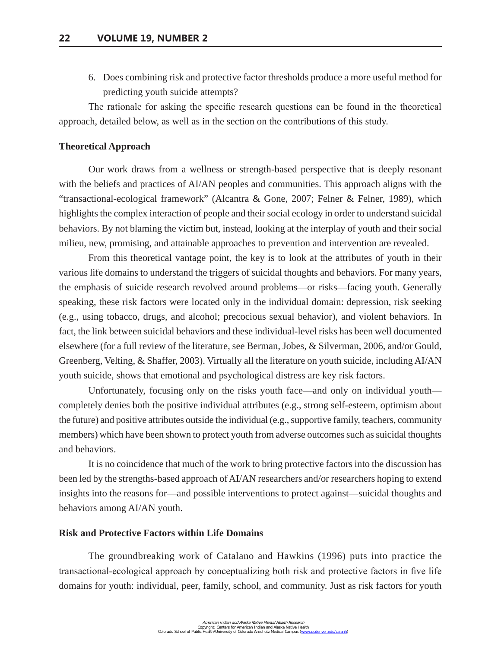6. Does combining risk and protective factor thresholds produce a more useful method for predicting youth suicide attempts?

The rationale for asking the specific research questions can be found in the theoretical approach, detailed below, as well as in the section on the contributions of this study.

### **Theoretical Approach**

Our work draws from a wellness or strength-based perspective that is deeply resonant with the beliefs and practices of AI/AN peoples and communities. This approach aligns with the "transactional-ecological framework" (Alcantra & Gone, 2007; Felner & Felner, 1989), which highlights the complex interaction of people and their social ecology in order to understand suicidal behaviors. By not blaming the victim but, instead, looking at the interplay of youth and their social milieu, new, promising, and attainable approaches to prevention and intervention are revealed.

From this theoretical vantage point, the key is to look at the attributes of youth in their various life domains to understand the triggers of suicidal thoughts and behaviors. For many years, the emphasis of suicide research revolved around problems—or risks—facing youth. Generally speaking, these risk factors were located only in the individual domain: depression, risk seeking (e.g., using tobacco, drugs, and alcohol; precocious sexual behavior), and violent behaviors. In fact, the link between suicidal behaviors and these individual-level risks has been well documented elsewhere (for a full review of the literature, see Berman, Jobes, & Silverman, 2006, and/or Gould, Greenberg, Velting, & Shaffer, 2003). Virtually all the literature on youth suicide, including AI/AN youth suicide, shows that emotional and psychological distress are key risk factors.

Unfortunately, focusing only on the risks youth face—and only on individual youth completely denies both the positive individual attributes (e.g., strong self-esteem, optimism about the future) and positive attributes outside the individual (e.g., supportive family, teachers, community members) which have been shown to protect youth from adverse outcomes such as suicidal thoughts and behaviors.

It is no coincidence that much of the work to bring protective factors into the discussion has been led by the strengths-based approach of AI/AN researchers and/or researchers hoping to extend insights into the reasons for—and possible interventions to protect against—suicidal thoughts and behaviors among AI/AN youth.

# **Risk and Protective Factors within Life Domains**

The groundbreaking work of Catalano and Hawkins (1996) puts into practice the transactional-ecological approach by conceptualizing both risk and protective factors in five life domains for youth: individual, peer, family, school, and community. Just as risk factors for youth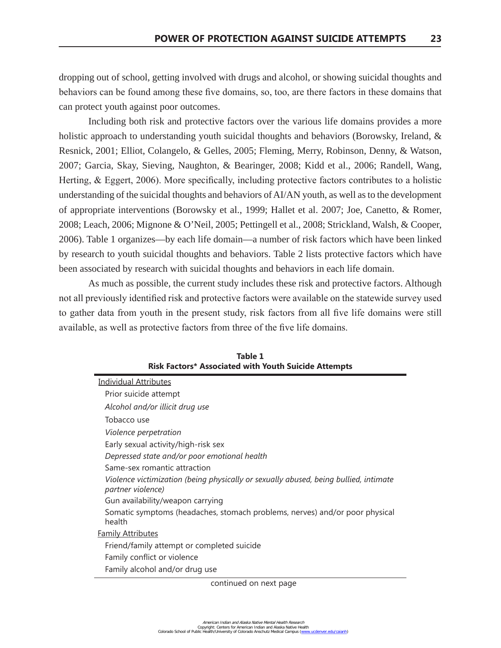dropping out of school, getting involved with drugs and alcohol, or showing suicidal thoughts and behaviors can be found among these five domains, so, too, are there factors in these domains that can protect youth against poor outcomes.

Including both risk and protective factors over the various life domains provides a more holistic approach to understanding youth suicidal thoughts and behaviors (Borowsky, Ireland, & Resnick, 2001; Elliot, Colangelo, & Gelles, 2005; Fleming, Merry, Robinson, Denny, & Watson, 2007; Garcia, Skay, Sieving, Naughton, & Bearinger, 2008; Kidd et al., 2006; Randell, Wang, Herting, & Eggert, 2006). More specifically, including protective factors contributes to a holistic understanding of the suicidal thoughts and behaviors of AI/AN youth, as well as to the development of appropriate interventions (Borowsky et al., 1999; Hallet et al. 2007; Joe, Canetto, & Romer, 2008; Leach, 2006; Mignone & O'Neil, 2005; Pettingell et al., 2008; Strickland, Walsh, & Cooper, 2006). Table 1 organizes—by each life domain—a number of risk factors which have been linked by research to youth suicidal thoughts and behaviors. Table 2 lists protective factors which have been associated by research with suicidal thoughts and behaviors in each life domain.

As much as possible, the current study includes these risk and protective factors. Although not all previously identified risk and protective factors were available on the statewide survey used to gather data from youth in the present study, risk factors from all five life domains were still available, as well as protective factors from three of the five life domains.

| RISK Factors^ Associated with Youth Suicide Attempts                                                      |
|-----------------------------------------------------------------------------------------------------------|
| <b>Individual Attributes</b>                                                                              |
| Prior suicide attempt                                                                                     |
| Alcohol and/or illicit drug use                                                                           |
| Tobacco use                                                                                               |
| <i>Violence perpetration</i>                                                                              |
| Early sexual activity/high-risk sex                                                                       |
| Depressed state and/or poor emotional health                                                              |
| Same-sex romantic attraction                                                                              |
| Violence victimization (being physically or sexually abused, being bullied, intimate<br>partner violence) |
| Gun availability/weapon carrying                                                                          |
| Somatic symptoms (headaches, stomach problems, nerves) and/or poor physical<br>health                     |
| <b>Family Attributes</b>                                                                                  |
| Friend/family attempt or completed suicide                                                                |
| Family conflict or violence                                                                               |
| Family alcohol and/or drug use                                                                            |

**Table 1 Risk Factors\* Associated with Youth Suicide Attempts**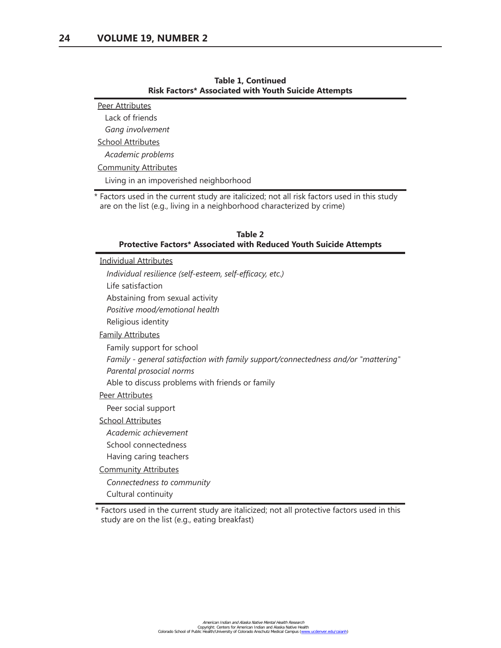| <b>Risk Factors* Associated with Youth Suicide Attempts</b> |  |  |  |  |  |
|-------------------------------------------------------------|--|--|--|--|--|
| Peer Attributes                                             |  |  |  |  |  |
| Lack of friends                                             |  |  |  |  |  |
| Gang involvement                                            |  |  |  |  |  |
| <b>School Attributes</b>                                    |  |  |  |  |  |
| Academic problems                                           |  |  |  |  |  |
| <b>Community Attributes</b>                                 |  |  |  |  |  |
| Living in an impoverished neighborhood                      |  |  |  |  |  |

**Table 1, Continued**

\* Factors used in the current study are italicized; not all risk factors used in this study are on the list (e.g., living in a neighborhood characterized by crime)

|                                                                    | Table 2 |  |  |
|--------------------------------------------------------------------|---------|--|--|
| Protective Factors* Associated with Reduced Youth Suicide Attempts |         |  |  |

| <b>Individual Attributes</b>                                                       |
|------------------------------------------------------------------------------------|
| Individual resilience (self-esteem, self-efficacy, etc.)                           |
| Life satisfaction                                                                  |
| Abstaining from sexual activity                                                    |
| Positive mood/emotional health                                                     |
| Religious identity                                                                 |
| <b>Family Attributes</b>                                                           |
| Family support for school                                                          |
| Family - general satisfaction with family support/connectedness and/or "mattering" |
| Parental prosocial norms                                                           |
| Able to discuss problems with friends or family                                    |
| Peer Attributes                                                                    |
| Peer social support                                                                |
| <b>School Attributes</b>                                                           |
| Academic achievement                                                               |
| School connectedness                                                               |
| Having caring teachers                                                             |
| <b>Community Attributes</b>                                                        |
| Connectedness to community                                                         |
| Cultural continuity                                                                |

\* Factors used in the current study are italicized; not all protective factors used in this study are on the list (e.g., eating breakfast)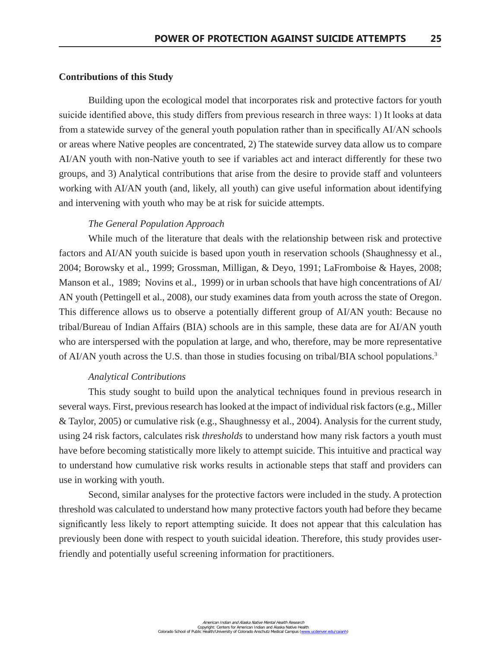# **Contributions of this Study**

Building upon the ecological model that incorporates risk and protective factors for youth suicide identified above, this study differs from previous research in three ways: 1) It looks at data from a statewide survey of the general youth population rather than in specifically AI/AN schools or areas where Native peoples are concentrated, 2) The statewide survey data allow us to compare AI/AN youth with non-Native youth to see if variables act and interact differently for these two groups, and 3) Analytical contributions that arise from the desire to provide staff and volunteers working with AI/AN youth (and, likely, all youth) can give useful information about identifying and intervening with youth who may be at risk for suicide attempts.

# *The General Population Approach*

While much of the literature that deals with the relationship between risk and protective factors and AI/AN youth suicide is based upon youth in reservation schools (Shaughnessy et al., 2004; Borowsky et al., 1999; Grossman, Milligan, & Deyo, 1991; LaFromboise & Hayes, 2008; Manson et al., 1989; Novins et al., 1999) or in urban schools that have high concentrations of AI/ AN youth (Pettingell et al., 2008), our study examines data from youth across the state of Oregon. This difference allows us to observe a potentially different group of AI/AN youth: Because no tribal/Bureau of Indian Affairs (BIA) schools are in this sample, these data are for AI/AN youth who are interspersed with the population at large, and who, therefore, may be more representative of AI/AN youth across the U.S. than those in studies focusing on tribal/BIA school populations.<sup>3</sup>

### *Analytical Contributions*

This study sought to build upon the analytical techniques found in previous research in several ways. First, previous research has looked at the impact of individual risk factors (e.g., Miller & Taylor, 2005) or cumulative risk (e.g., Shaughnessy et al., 2004). Analysis for the current study, using 24 risk factors, calculates risk *thresholds* to understand how many risk factors a youth must have before becoming statistically more likely to attempt suicide. This intuitive and practical way to understand how cumulative risk works results in actionable steps that staff and providers can use in working with youth.

Second, similar analyses for the protective factors were included in the study. A protection threshold was calculated to understand how many protective factors youth had before they became significantly less likely to report attempting suicide. It does not appear that this calculation has previously been done with respect to youth suicidal ideation. Therefore, this study provides userfriendly and potentially useful screening information for practitioners.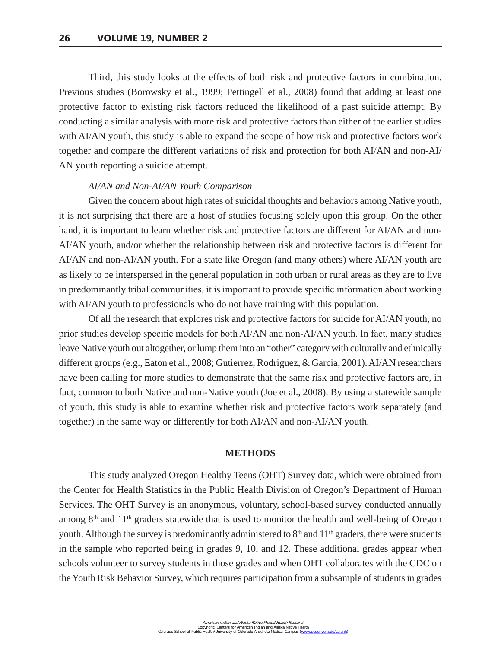Third, this study looks at the effects of both risk and protective factors in combination. Previous studies (Borowsky et al., 1999; Pettingell et al., 2008) found that adding at least one protective factor to existing risk factors reduced the likelihood of a past suicide attempt. By conducting a similar analysis with more risk and protective factors than either of the earlier studies with AI/AN youth, this study is able to expand the scope of how risk and protective factors work together and compare the different variations of risk and protection for both AI/AN and non-AI/ AN youth reporting a suicide attempt.

# *AI/AN and Non-AI/AN Youth Comparison*

Given the concern about high rates of suicidal thoughts and behaviors among Native youth, it is not surprising that there are a host of studies focusing solely upon this group. On the other hand, it is important to learn whether risk and protective factors are different for AI/AN and non-AI/AN youth, and/or whether the relationship between risk and protective factors is different for AI/AN and non-AI/AN youth. For a state like Oregon (and many others) where AI/AN youth are as likely to be interspersed in the general population in both urban or rural areas as they are to live in predominantly tribal communities, it is important to provide specific information about working with AI/AN youth to professionals who do not have training with this population.

Of all the research that explores risk and protective factors for suicide for AI/AN youth, no prior studies develop specific models for both AI/AN and non-AI/AN youth. In fact, many studies leave Native youth out altogether, or lump them into an "other" category with culturally and ethnically different groups (e.g., Eaton et al., 2008; Gutierrez, Rodriguez, & Garcia, 2001). AI/AN researchers have been calling for more studies to demonstrate that the same risk and protective factors are, in fact, common to both Native and non-Native youth (Joe et al., 2008). By using a statewide sample of youth, this study is able to examine whether risk and protective factors work separately (and together) in the same way or differently for both AI/AN and non-AI/AN youth.

#### **Methods**

This study analyzed Oregon Healthy Teens (OHT) Survey data, which were obtained from the Center for Health Statistics in the Public Health Division of Oregon's Department of Human Services. The OHT Survey is an anonymous, voluntary, school-based survey conducted annually among 8<sup>th</sup> and 11<sup>th</sup> graders statewide that is used to monitor the health and well-being of Oregon youth. Although the survey is predominantly administered to  $8<sup>th</sup>$  and  $11<sup>th</sup>$  graders, there were students in the sample who reported being in grades 9, 10, and 12. These additional grades appear when schools volunteer to survey students in those grades and when OHT collaborates with the CDC on the Youth Risk Behavior Survey, which requires participation from a subsample of students in grades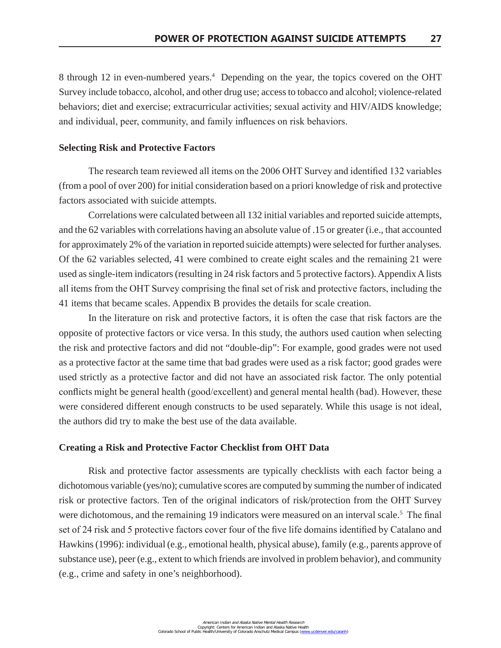8 through 12 in even-numbered years.<sup>4</sup> Depending on the year, the topics covered on the OHT Survey include tobacco, alcohol, and other drug use; access to tobacco and alcohol; violence-related behaviors; diet and exercise; extracurricular activities; sexual activity and HIV/AIDS knowledge; and individual, peer, community, and family influences on risk behaviors.

# **Selecting Risk and Protective Factors**

The research team reviewed all items on the 2006 OHT Survey and identified 132 variables (from a pool of over 200) for initial consideration based on a priori knowledge of risk and protective factors associated with suicide attempts.

Correlations were calculated between all 132 initial variables and reported suicide attempts, and the 62 variables with correlations having an absolute value of .15 or greater (i.e., that accounted for approximately 2% of the variation in reported suicide attempts) were selected for further analyses. Of the 62 variables selected, 41 were combined to create eight scales and the remaining 21 were used as single-item indicators (resulting in 24 risk factors and 5 protective factors). Appendix A lists all items from the OHT Survey comprising the final set of risk and protective factors, including the 41 items that became scales. Appendix B provides the details for scale creation.

In the literature on risk and protective factors, it is often the case that risk factors are the opposite of protective factors or vice versa. In this study, the authors used caution when selecting the risk and protective factors and did not "double-dip": For example, good grades were not used as a protective factor at the same time that bad grades were used as a risk factor; good grades were used strictly as a protective factor and did not have an associated risk factor. The only potential conflicts might be general health (good/excellent) and general mental health (bad). However, these were considered different enough constructs to be used separately. While this usage is not ideal, the authors did try to make the best use of the data available.

### **Creating a Risk and Protective Factor Checklist from OHT Data**

Risk and protective factor assessments are typically checklists with each factor being a dichotomous variable (yes/no); cumulative scores are computed by summing the number of indicated risk or protective factors. Ten of the original indicators of risk/protection from the OHT Survey were dichotomous, and the remaining 19 indicators were measured on an interval scale.<sup>5</sup> The final set of 24 risk and 5 protective factors cover four of the five life domains identified by Catalano and Hawkins (1996): individual (e.g., emotional health, physical abuse), family (e.g., parents approve of substance use), peer (e.g., extent to which friends are involved in problem behavior), and community (e.g., crime and safety in one's neighborhood).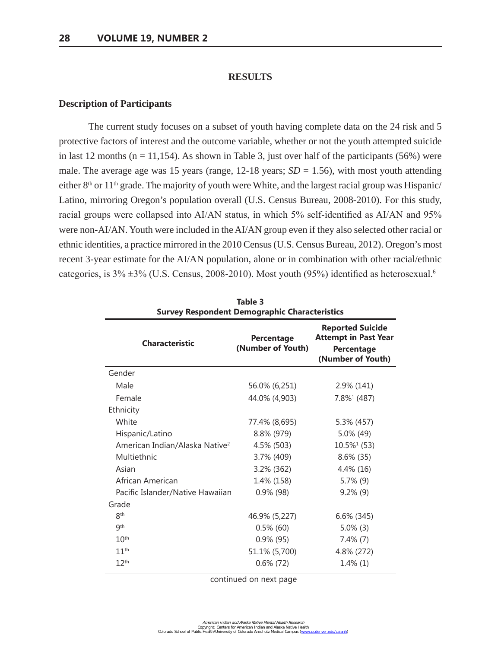# **Results**

# **Description of Participants**

The current study focuses on a subset of youth having complete data on the 24 risk and 5 protective factors of interest and the outcome variable, whether or not the youth attempted suicide in last 12 months ( $n = 11,154$ ). As shown in Table 3, just over half of the participants (56%) were male. The average age was 15 years (range,  $12{\text -}18$  years;  $SD = 1.56$ ), with most youth attending either 8<sup>th</sup> or 11<sup>th</sup> grade. The majority of youth were White, and the largest racial group was Hispanic/ Latino, mirroring Oregon's population overall (U.S. Census Bureau, 2008-2010). For this study, racial groups were collapsed into AI/AN status, in which 5% self-identified as AI/AN and 95% were non-AI/AN. Youth were included in the AI/AN group even if they also selected other racial or ethnic identities, a practice mirrored in the 2010 Census (U.S. Census Bureau, 2012). Oregon's most recent 3-year estimate for the AI/AN population, alone or in combination with other racial/ethnic categories, is 3% ±3% (U.S. Census, 2008-2010). Most youth (95%) identified as heterosexual.<sup>6</sup>

| Table 3<br><b>Survey Respondent Demographic Characteristics</b> |                                        |                                                                                                  |  |  |  |  |
|-----------------------------------------------------------------|----------------------------------------|--------------------------------------------------------------------------------------------------|--|--|--|--|
| <b>Characteristic</b>                                           | <b>Percentage</b><br>(Number of Youth) | <b>Reported Suicide</b><br><b>Attempt in Past Year</b><br><b>Percentage</b><br>(Number of Youth) |  |  |  |  |
| Gender                                                          |                                        |                                                                                                  |  |  |  |  |
| Male                                                            | 56.0% (6,251)                          | $2.9\%$ (141)                                                                                    |  |  |  |  |
| Female                                                          | 44.0% (4,903)                          | $7.8\%$ <sup>1</sup> (487)                                                                       |  |  |  |  |
| Ethnicity                                                       |                                        |                                                                                                  |  |  |  |  |
| White                                                           | 77.4% (8,695)                          | 5.3% (457)                                                                                       |  |  |  |  |
| Hispanic/Latino                                                 | 8.8% (979)                             | $5.0\%$ (49)                                                                                     |  |  |  |  |
| American Indian/Alaska Native <sup>2</sup>                      | 4.5% (503)                             | $10.5\%$ <sup>1</sup> (53)                                                                       |  |  |  |  |
| Multiethnic                                                     | 3.7% (409)                             | $8.6\%$ (35)                                                                                     |  |  |  |  |
| Asian                                                           | 3.2% (362)                             | 4.4% (16)                                                                                        |  |  |  |  |
| African American                                                | 1.4% (158)                             | $5.7\%$ (9)                                                                                      |  |  |  |  |
| Pacific Islander/Native Hawaiian                                | $0.9\%$ (98)                           | $9.2\%$ (9)                                                                                      |  |  |  |  |
| Grade                                                           |                                        |                                                                                                  |  |  |  |  |
| 8 <sup>th</sup>                                                 | 46.9% (5,227)                          | 6.6% (345)                                                                                       |  |  |  |  |
| <b>gth</b>                                                      | $0.5\%$ (60)                           | $5.0\%$ (3)                                                                                      |  |  |  |  |
| 10 <sup>th</sup>                                                | $0.9\%$ (95)                           | $7.4\%$ $(7)$                                                                                    |  |  |  |  |
| 11 <sup>th</sup>                                                | 51.1% (5,700)                          | 4.8% (272)                                                                                       |  |  |  |  |
| 12 <sup>th</sup>                                                | $0.6\%$ (72)                           | $1.4\%$ $(1)$                                                                                    |  |  |  |  |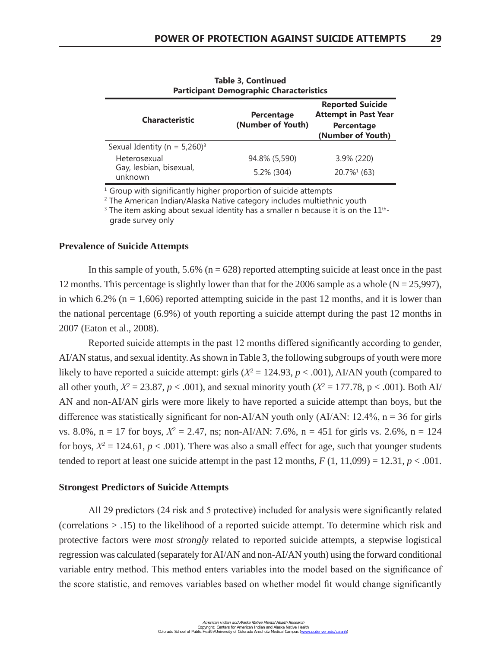| <b>Characteristic</b>                        | Percentage<br>(Number of Youth) | <b>Reported Suicide</b><br><b>Attempt in Past Year</b><br>Percentage<br>(Number of Youth) |
|----------------------------------------------|---------------------------------|-------------------------------------------------------------------------------------------|
| Sexual Identity ( $n = 5,260$ ) <sup>3</sup> |                                 |                                                                                           |
| Heterosexual                                 | 94.8% (5,590)                   | $3.9\%$ (220)                                                                             |
| Gay, lesbian, bisexual,<br>unknown           | 5.2% (304)                      | $20.7\%$ <sup>1</sup> (63)                                                                |

**Table 3, Continued Participant Demographic Characteristics**

<sup>1</sup> Group with significantly higher proportion of suicide attempts

2 The American Indian/Alaska Native category includes multiethnic youth

 $3$  The item asking about sexual identity has a smaller n because it is on the  $11<sup>th</sup>$ grade survey only

#### **Prevalence of Suicide Attempts**

In this sample of youth,  $5.6\%$  (n = 628) reported attempting suicide at least once in the past 12 months. This percentage is slightly lower than that for the 2006 sample as a whole  $(N = 25.997)$ , in which 6.2% ( $n = 1,606$ ) reported attempting suicide in the past 12 months, and it is lower than the national percentage (6.9%) of youth reporting a suicide attempt during the past 12 months in 2007 (Eaton et al., 2008).

Reported suicide attempts in the past 12 months differed significantly according to gender, AI/AN status, and sexual identity. As shown in Table 3, the following subgroups of youth were more likely to have reported a suicide attempt: girls  $(X^2 = 124.93, p < .001)$ , AI/AN youth (compared to all other youth,  $X^2 = 23.87$ ,  $p < .001$ ), and sexual minority youth ( $X^2 = 177.78$ ,  $p < .001$ ). Both AI/ AN and non-AI/AN girls were more likely to have reported a suicide attempt than boys, but the difference was statistically significant for non-AI/AN youth only (AI/AN: 12.4%,  $n = 36$  for girls vs. 8.0%,  $n = 17$  for boys,  $X^2 = 2.47$ , ns; non-AI/AN: 7.6%,  $n = 451$  for girls vs. 2.6%,  $n = 124$ for boys,  $X^2 = 124.61$ ,  $p < .001$ ). There was also a small effect for age, such that younger students tended to report at least one suicide attempt in the past 12 months,  $F(1, 11,099) = 12.31$ ,  $p < .001$ .

#### **Strongest Predictors of Suicide Attempts**

All 29 predictors (24 risk and 5 protective) included for analysis were significantly related (correlations > .15) to the likelihood of a reported suicide attempt. To determine which risk and protective factors were *most strongly* related to reported suicide attempts, a stepwise logistical regression was calculated (separately for AI/AN and non-AI/AN youth) using the forward conditional variable entry method. This method enters variables into the model based on the significance of the score statistic, and removes variables based on whether model fit would change significantly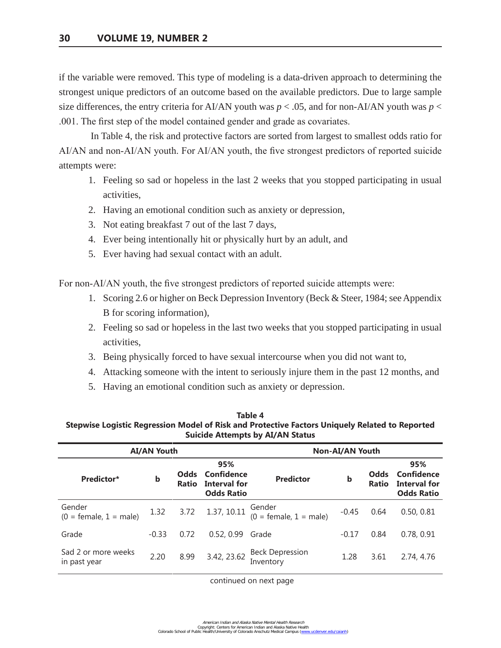if the variable were removed. This type of modeling is a data-driven approach to determining the strongest unique predictors of an outcome based on the available predictors. Due to large sample size differences, the entry criteria for AI/AN youth was  $p < .05$ , and for non-AI/AN youth was  $p <$ .001. The first step of the model contained gender and grade as covariates.

 In Table 4, the risk and protective factors are sorted from largest to smallest odds ratio for AI/AN and non-AI/AN youth. For AI/AN youth, the five strongest predictors of reported suicide attempts were:

- 1. Feeling so sad or hopeless in the last 2 weeks that you stopped participating in usual activities,
- 2. Having an emotional condition such as anxiety or depression,
- 3. Not eating breakfast 7 out of the last 7 days,
- 4. Ever being intentionally hit or physically hurt by an adult, and
- 5. Ever having had sexual contact with an adult.

For non-AI/AN youth, the five strongest predictors of reported suicide attempts were:

- 1. Scoring 2.6 or higher on Beck Depression Inventory (Beck & Steer, 1984; see Appendix B for scoring information),
- 2. Feeling so sad or hopeless in the last two weeks that you stopped participating in usual activities,
- 3. Being physically forced to have sexual intercourse when you did not want to,
- 4. Attacking someone with the intent to seriously injure them in the past 12 months, and
- 5. Having an emotional condition such as anxiety or depression.

**Table 4 Stepwise Logistic Regression Model of Risk and Protective Factors Uniquely Related to Reported Suicide Attempts by AI/AN Status**

| <b>AI/AN Youth</b>                  |             |                             |                                                               | <b>Non-AI/AN Youth</b>                              |         |                             |                                                                      |
|-------------------------------------|-------------|-----------------------------|---------------------------------------------------------------|-----------------------------------------------------|---------|-----------------------------|----------------------------------------------------------------------|
| Predictor*                          | $\mathbf b$ | <b>Odds</b><br><b>Ratio</b> | 95%<br>Confidence<br><b>Interval for</b><br><b>Odds Ratio</b> | <b>Predictor</b>                                    | b       | <b>Odds</b><br><b>Ratio</b> | 95%<br><b>Confidence</b><br><b>Interval for</b><br><b>Odds Ratio</b> |
| Gender<br>$(0 = female, 1 = male)$  | 1.32        | 3.72                        |                                                               | 1.37, 10.11 $\frac{Gender}{(0 = female, 1 = male)}$ | $-0.45$ | 0.64                        | 0.50, 0.81                                                           |
| Grade                               | $-0.33$     | 0.72                        | 0.52, 0.99                                                    | Grade                                               | $-0.17$ | 0.84                        | 0.78, 0.91                                                           |
| Sad 2 or more weeks<br>in past year | 2.20        | 8.99                        |                                                               | 3.42, 23.62 Beck Depression<br>Inventory            | 1.28    | 3.61                        | 2.74, 4.76                                                           |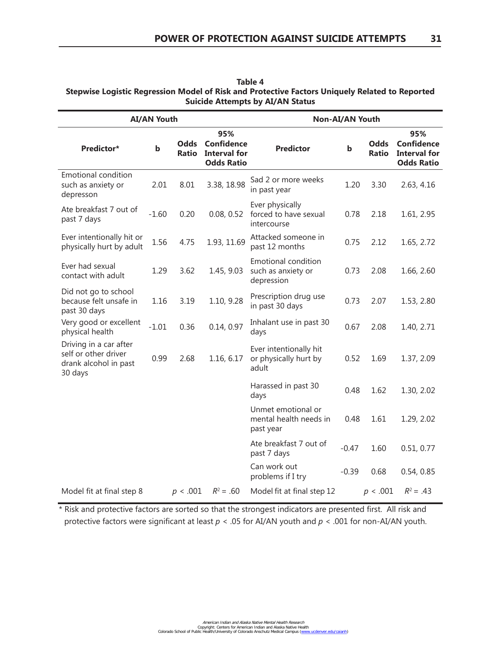| <b>AI/AN Youth</b>                                                                 |             |                             |                                                                      | Non-AI/AN Youth                                                |             |                             |                                                                      |
|------------------------------------------------------------------------------------|-------------|-----------------------------|----------------------------------------------------------------------|----------------------------------------------------------------|-------------|-----------------------------|----------------------------------------------------------------------|
| Predictor*                                                                         | $\mathbf b$ | <b>Odds</b><br><b>Ratio</b> | 95%<br><b>Confidence</b><br><b>Interval for</b><br><b>Odds Ratio</b> | <b>Predictor</b>                                               | $\mathbf b$ | <b>Odds</b><br><b>Ratio</b> | 95%<br><b>Confidence</b><br><b>Interval for</b><br><b>Odds Ratio</b> |
| Emotional condition<br>such as anxiety or<br>depresson                             | 2.01        | 8.01                        | 3.38, 18.98                                                          | Sad 2 or more weeks<br>in past year                            | 1.20        | 3.30                        | 2.63, 4.16                                                           |
| Ate breakfast 7 out of<br>past 7 days                                              | $-1.60$     | 0.20                        | 0.08, 0.52                                                           | Ever physically<br>forced to have sexual<br>intercourse        | 0.78        | 2.18                        | 1.61, 2.95                                                           |
| Ever intentionally hit or<br>physically hurt by adult                              | 1.56        | 4.75                        | 1.93, 11.69                                                          | Attacked someone in<br>past 12 months                          | 0.75        | 2.12                        | 1.65, 2.72                                                           |
| Ever had sexual<br>contact with adult                                              | 1.29        | 3.62                        | 1.45, 9.03                                                           | <b>Emotional condition</b><br>such as anxiety or<br>depression | 0.73        | 2.08                        | 1.66, 2.60                                                           |
| Did not go to school<br>because felt unsafe in<br>past 30 days                     | 1.16        | 3.19                        | 1.10, 9.28                                                           | Prescription drug use<br>in past 30 days                       | 0.73        | 2.07                        | 1.53, 2.80                                                           |
| Very good or excellent<br>physical health                                          | $-1.01$     | 0.36                        | 0.14, 0.97                                                           | Inhalant use in past 30<br>days                                | 0.67        | 2.08                        | 1.40, 2.71                                                           |
| Driving in a car after<br>self or other driver<br>drank alcohol in past<br>30 days | 0.99        | 2.68                        | 1.16, 6.17                                                           | Ever intentionally hit<br>or physically hurt by<br>adult       | 0.52        | 1.69                        | 1.37, 2.09                                                           |
|                                                                                    |             |                             |                                                                      | Harassed in past 30<br>days                                    | 0.48        | 1.62                        | 1.30, 2.02                                                           |
|                                                                                    |             |                             |                                                                      | Unmet emotional or<br>mental health needs in<br>past year      | 0.48        | 1.61                        | 1.29, 2.02                                                           |
|                                                                                    |             |                             |                                                                      | Ate breakfast 7 out of<br>past 7 days                          | $-0.47$     | 1.60                        | 0.51, 0.77                                                           |
|                                                                                    |             |                             |                                                                      | Can work out<br>problems if I try                              | $-0.39$     | 0.68                        | 0.54, 0.85                                                           |
| Model fit at final step 8                                                          |             | p < .001                    | $R^2 = .60$                                                          | Model fit at final step 12                                     |             | p < .001                    | $R^2 = .43$                                                          |

| Table 4                                                                                        |
|------------------------------------------------------------------------------------------------|
| Stepwise Logistic Regression Model of Risk and Protective Factors Uniquely Related to Reported |
| <b>Suicide Attempts by AI/AN Status</b>                                                        |

\* Risk and protective factors are sorted so that the strongest indicators are presented first. All risk and protective factors were significant at least *p* < .05 for AI/AN youth and *p* < .001 for non-AI/AN youth.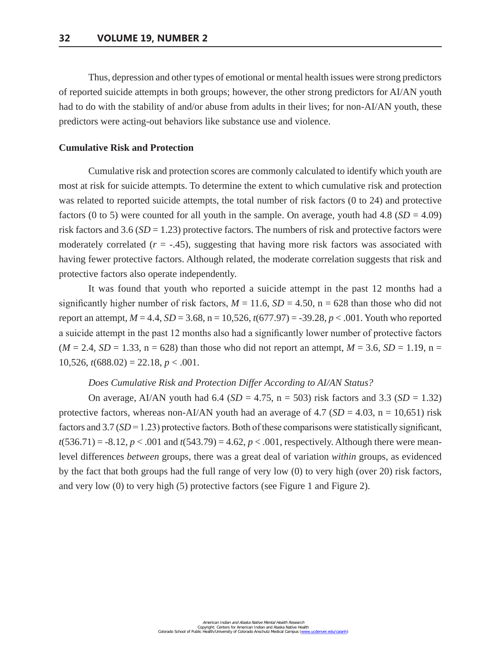Thus, depression and other types of emotional or mental health issues were strong predictors of reported suicide attempts in both groups; however, the other strong predictors for AI/AN youth had to do with the stability of and/or abuse from adults in their lives; for non-AI/AN youth, these predictors were acting-out behaviors like substance use and violence.

# **Cumulative Risk and Protection**

Cumulative risk and protection scores are commonly calculated to identify which youth are most at risk for suicide attempts. To determine the extent to which cumulative risk and protection was related to reported suicide attempts, the total number of risk factors (0 to 24) and protective factors (0 to 5) were counted for all youth in the sample. On average, youth had 4.8 ( $SD = 4.09$ ) risk factors and 3.6 (*SD* = 1.23) protective factors. The numbers of risk and protective factors were moderately correlated  $(r = -.45)$ , suggesting that having more risk factors was associated with having fewer protective factors. Although related, the moderate correlation suggests that risk and protective factors also operate independently.

It was found that youth who reported a suicide attempt in the past 12 months had a significantly higher number of risk factors,  $M = 11.6$ ,  $SD = 4.50$ ,  $n = 628$  than those who did not report an attempt, *M* = 4.4, *SD* = 3.68, n = 10,526, *t*(677.97) = -39.28, *p* < .001. Youth who reported a suicide attempt in the past 12 months also had a significantly lower number of protective factors  $(M = 2.4, SD = 1.33, n = 628)$  than those who did not report an attempt,  $M = 3.6$ ,  $SD = 1.19$ ,  $n =$ 10,526,  $t(688.02) = 22.18$ ,  $p < .001$ .

# *Does Cumulative Risk and Protection Differ According to AI/AN Status?*

On average, AI/AN youth had  $6.4$  (*SD* = 4.75, n = 503) risk factors and 3.3 (*SD* = 1.32) protective factors, whereas non-AI/AN youth had an average of 4.7 ( $SD = 4.03$ , n = 10,651) risk factors and 3.7 (*SD* = 1.23) protective factors. Both of these comparisons were statistically significant,  $t(536.71) = -8.12$ ,  $p < .001$  and  $t(543.79) = 4.62$ ,  $p < .001$ , respectively. Although there were meanlevel differences *between* groups, there was a great deal of variation *within* groups, as evidenced by the fact that both groups had the full range of very low (0) to very high (over 20) risk factors, and very low (0) to very high (5) protective factors (see Figure 1 and Figure 2).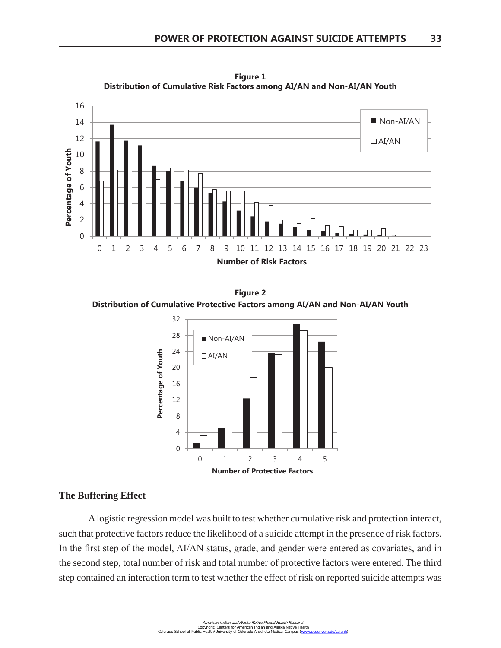

**Figure 1 Distribution of Cumulative Risk Factors among AI/AN and Non-AI/AN Youth**

**Figure 2 Distribution of Cumulative Protective Factors among AI/AN and Non-AI/AN Youth**



# **The Buffering Effect**

A logistic regression model was built to test whether cumulative risk and protection interact, such that protective factors reduce the likelihood of a suicide attempt in the presence of risk factors. In the first step of the model, AI/AN status, grade, and gender were entered as covariates, and in the second step, total number of risk and total number of protective factors were entered. The third step contained an interaction term to test whether the effect of risk on reported suicide attempts was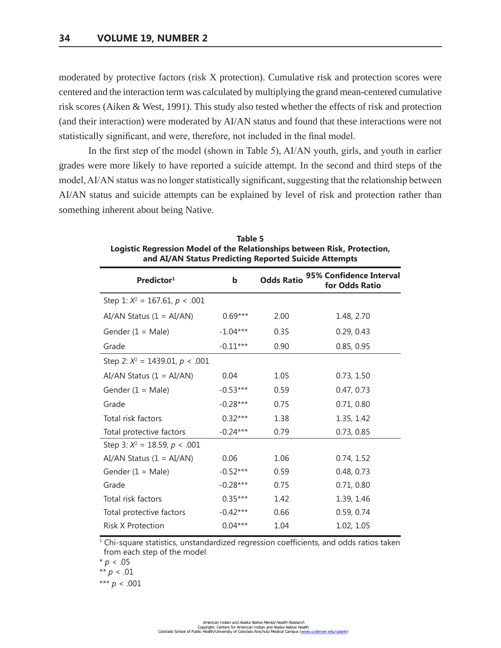moderated by protective factors (risk X protection). Cumulative risk and protection scores were centered and the interaction term was calculated by multiplying the grand mean-centered cumulative risk scores (Aiken & West, 1991). This study also tested whether the effects of risk and protection (and their interaction) were moderated by AI/AN status and found that these interactions were not statistically significant, and were, therefore, not included in the final model.

In the first step of the model (shown in Table 5), AI/AN youth, girls, and youth in earlier grades were more likely to have reported a suicide attempt. In the second and third steps of the model, AI/AN status was no longer statistically significant, suggesting that the relationship between AI/AN status and suicide attempts can be explained by level of risk and protection rather than something inherent about being Native.

| and Alma States Frequency Reported Suicide Attempts |            |                   |                                           |  |  |  |  |
|-----------------------------------------------------|------------|-------------------|-------------------------------------------|--|--|--|--|
| Predictor <sup>1</sup>                              | b          | <b>Odds Ratio</b> | 95% Confidence Interval<br>for Odds Ratio |  |  |  |  |
| Step 1: $X^2$ = 167.61, $p < .001$                  |            |                   |                                           |  |  |  |  |
| $AI/AN$ Status (1 = $AI/AN$ )                       | $0.69***$  | 2.00              | 1.48, 2.70                                |  |  |  |  |
| Gender $(1 = Male)$                                 | $-1.04***$ | 0.35              | 0.29, 0.43                                |  |  |  |  |
| Grade                                               | $-0.11***$ | 0.90              | 0.85, 0.95                                |  |  |  |  |
| Step 2: $X^2$ = 1439.01, $p < .001$                 |            |                   |                                           |  |  |  |  |
| $AI/AN$ Status (1 = $AI/AN$ )                       | 0.04       | 1.05              | 0.73, 1.50                                |  |  |  |  |
| Gender $(1 = Male)$                                 | $-0.53***$ | 0.59              | 0.47, 0.73                                |  |  |  |  |
| Grade                                               | $-0.28***$ | 0.75              | 0.71, 0.80                                |  |  |  |  |
| Total risk factors                                  | $0.32***$  | 1.38              | 1.35, 1.42                                |  |  |  |  |
| Total protective factors                            | $-0.24***$ | 0.79              | 0.73, 0.85                                |  |  |  |  |
| Step 3: $X^2 = 18.59$ , $p < .001$                  |            |                   |                                           |  |  |  |  |
| $AI/AN$ Status (1 = $AI/AN$ )                       | 0.06       | 1.06              | 0.74, 1.52                                |  |  |  |  |
| Gender $(1 = Male)$                                 | $-0.52***$ | 0.59              | 0.48, 0.73                                |  |  |  |  |
| Grade                                               | $-0.28***$ | 0.75              | 0.71, 0.80                                |  |  |  |  |
| Total risk factors                                  | $0.35***$  | 1.42              | 1.39, 1.46                                |  |  |  |  |
| Total protective factors                            | $-0.42***$ | 0.66              | 0.59, 0.74                                |  |  |  |  |
| <b>Risk X Protection</b>                            | $0.04***$  | 1.04              | 1.02, 1.05                                |  |  |  |  |

**Table 5 Logistic Regression Model of the Relationships between Risk, Protection, and AI/AN Status Predicting Reported Suicide Attempts**

<sup>1</sup> Chi-square statistics, unstandardized regression coefficients, and odds ratios taken from each step of the model

\*\*\* *p* < .001

 $* p < .05$ 

<sup>\*\*</sup>  $p < .01$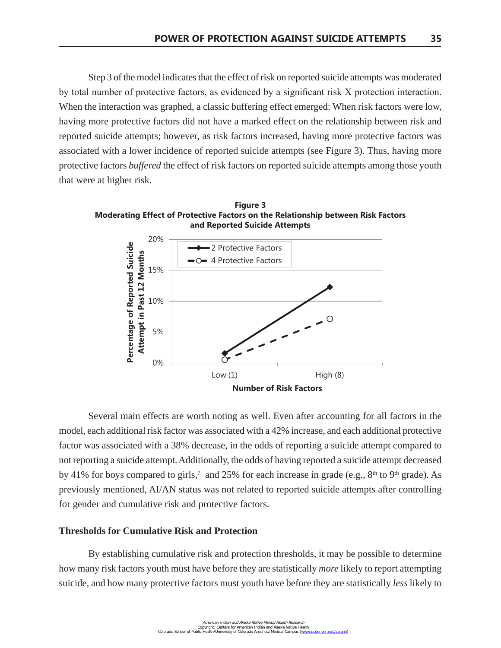Step 3 of the model indicates that the effect of risk on reported suicide attempts was moderated by total number of protective factors, as evidenced by a significant risk X protection interaction. When the interaction was graphed, a classic buffering effect emerged: When risk factors were low, having more protective factors did not have a marked effect on the relationship between risk and reported suicide attempts; however, as risk factors increased, having more protective factors was associated with a lower incidence of reported suicide attempts (see Figure 3). Thus, having more protective factors *buffered* the effect of risk factors on reported suicide attempts among those youth that were at higher risk.





Several main effects are worth noting as well. Even after accounting for all factors in the model, each additional risk factor was associated with a 42% increase, and each additional protective factor was associated with a 38% decrease, in the odds of reporting a suicide attempt compared to not reporting a suicide attempt. Additionally, the odds of having reported a suicide attempt decreased by 41% for boys compared to girls,<sup>7</sup> and 25% for each increase in grade (e.g.,  $8<sup>th</sup>$  to  $9<sup>th</sup>$  grade). As previously mentioned, AI/AN status was not related to reported suicide attempts after controlling for gender and cumulative risk and protective factors.

# **Thresholds for Cumulative Risk and Protection**

By establishing cumulative risk and protection thresholds, it may be possible to determine how many risk factors youth must have before they are statistically *more* likely to report attempting suicide, and how many protective factors must youth have before they are statistically *less* likely to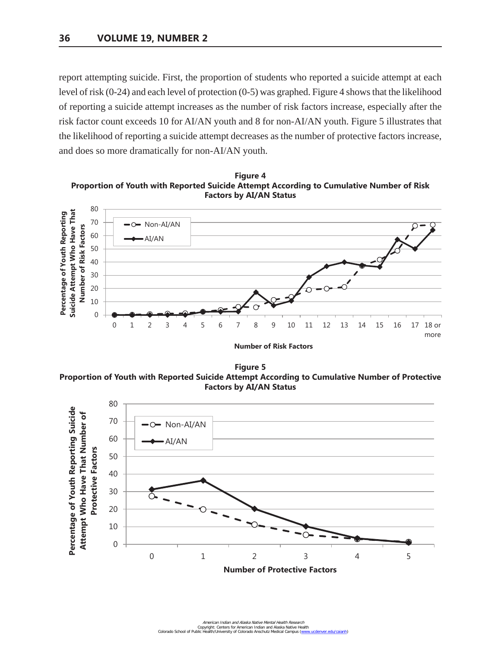report attempting suicide. First, the proportion of students who reported a suicide attempt at each level of risk (0-24) and each level of protection (0-5) was graphed. Figure 4 shows that the likelihood of reporting a suicide attempt increases as the number of risk factors increase, especially after the risk factor count exceeds 10 for AI/AN youth and 8 for non-AI/AN youth. Figure 5 illustrates that the likelihood of reporting a suicide attempt decreases as the number of protective factors increase, and does so more dramatically for non-AI/AN youth.

**Figure 4 Proportion of Youth with Reported Suicide Attempt According to Cumulative Number of Risk Factors by AI/AN Status**



**Number of Risk Factors**

**Figure 5 Proportion of Youth with Reported Suicide Attempt According to Cumulative Number of Protective Factors by AI/AN Status**

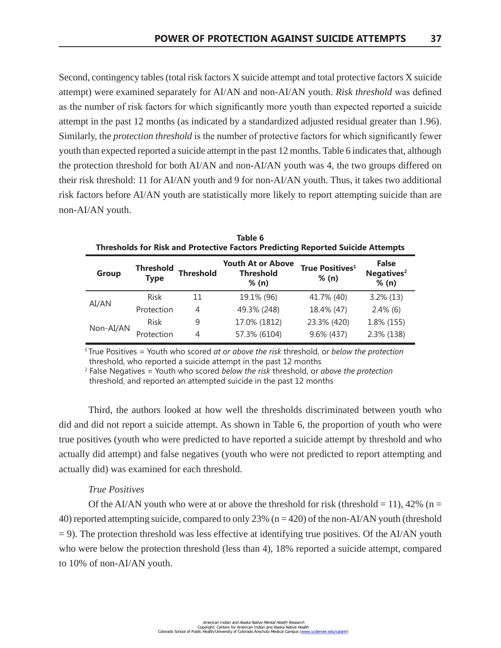Second, contingency tables (total risk factors X suicide attempt and total protective factors X suicide attempt) were examined separately for AI/AN and non-AI/AN youth. *Risk threshold* was defined as the number of risk factors for which significantly more youth than expected reported a suicide attempt in the past 12 months (as indicated by a standardized adjusted residual greater than 1.96). Similarly, the *protection threshold* is the number of protective factors for which significantly fewer youth than expected reported a suicide attempt in the past 12 months. Table 6 indicates that, although the protection threshold for both AI/AN and non-AI/AN youth was 4, the two groups differed on their risk threshold: 11 for AI/AN youth and 9 for non-AI/AN youth. Thus, it takes two additional risk factors before AI/AN youth are statistically more likely to report attempting suicide than are non-AI/AN youth.

| Table 6<br>Thresholds for Risk and Protective Factors Predicting Reported Suicide Attempts |                                 |           |                                                         |                                      |                                                 |  |  |
|--------------------------------------------------------------------------------------------|---------------------------------|-----------|---------------------------------------------------------|--------------------------------------|-------------------------------------------------|--|--|
| <b>Group</b>                                                                               | <b>Threshold</b><br><b>Type</b> | Threshold | <b>Youth At or Above</b><br><b>Threshold</b><br>$%$ (n) | True Positives <sup>1</sup><br>% (n) | <b>False</b><br>Negatives <sup>2</sup><br>% (n) |  |  |
|                                                                                            | <b>Risk</b>                     | 11        | 19.1% (96)                                              | 41.7% (40)                           | $3.2\%$ (13)                                    |  |  |
| AI/AN                                                                                      | Protection                      | 4         | 49.3% (248)                                             | 18.4% (47)                           | $2.4\%$ (6)                                     |  |  |
|                                                                                            | <b>Risk</b>                     | 9         | 17.0% (1812)                                            | 23.3% (420)                          | 1.8% (155)                                      |  |  |
| Non-AI/AN                                                                                  | Protection                      | 4         | 57.3% (6104)                                            | $9.6\%$ (437)                        | 2.3% (138)                                      |  |  |

1 True Positives = Youth who scored *at or above the risk* threshold, or *below the protection*  threshold, who reported a suicide attempt in the past 12 months

2 False Negatives = Youth who scored *below the risk* threshold, or *above the protection* threshold, and reported an attempted suicide in the past 12 months

Third, the authors looked at how well the thresholds discriminated between youth who did and did not report a suicide attempt. As shown in Table 6, the proportion of youth who were true positives (youth who were predicted to have reported a suicide attempt by threshold and who actually did attempt) and false negatives (youth who were not predicted to report attempting and actually did) was examined for each threshold.

# *True Positives*

Of the AI/AN youth who were at or above the threshold for risk (threshold  $= 11$ ), 42% (n  $=$ 40) reported attempting suicide, compared to only 23% (n = 420) of the non-AI/AN youth (threshold = 9). The protection threshold was less effective at identifying true positives. Of the AI/AN youth who were below the protection threshold (less than 4), 18% reported a suicide attempt, compared to 10% of non-AI/AN youth.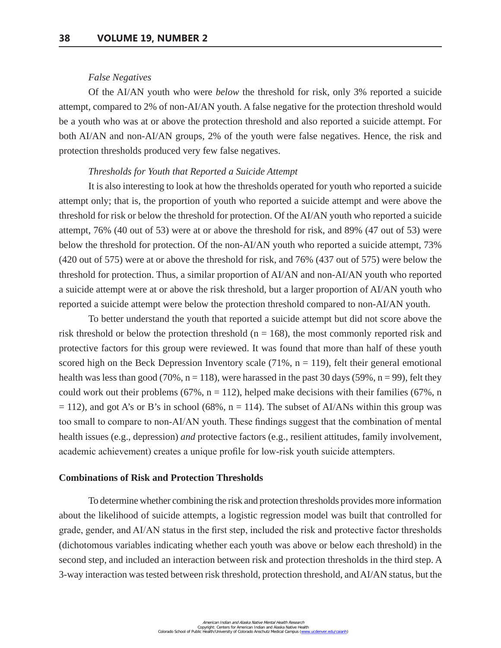# *False Negatives*

Of the AI/AN youth who were *below* the threshold for risk, only 3% reported a suicide attempt, compared to 2% of non-AI/AN youth. A false negative for the protection threshold would be a youth who was at or above the protection threshold and also reported a suicide attempt. For both AI/AN and non-AI/AN groups, 2% of the youth were false negatives. Hence, the risk and protection thresholds produced very few false negatives.

# *Thresholds for Youth that Reported a Suicide Attempt*

It is also interesting to look at how the thresholds operated for youth who reported a suicide attempt only; that is, the proportion of youth who reported a suicide attempt and were above the threshold for risk or below the threshold for protection. Of the AI/AN youth who reported a suicide attempt, 76% (40 out of 53) were at or above the threshold for risk, and 89% (47 out of 53) were below the threshold for protection. Of the non-AI/AN youth who reported a suicide attempt, 73% (420 out of 575) were at or above the threshold for risk, and 76% (437 out of 575) were below the threshold for protection. Thus, a similar proportion of AI/AN and non-AI/AN youth who reported a suicide attempt were at or above the risk threshold, but a larger proportion of AI/AN youth who reported a suicide attempt were below the protection threshold compared to non-AI/AN youth.

To better understand the youth that reported a suicide attempt but did not score above the risk threshold or below the protection threshold ( $n = 168$ ), the most commonly reported risk and protective factors for this group were reviewed. It was found that more than half of these youth scored high on the Beck Depression Inventory scale  $(71\%, n = 119)$ , felt their general emotional health was less than good (70%,  $n = 118$ ), were harassed in the past 30 days (59%,  $n = 99$ ), felt they could work out their problems (67%,  $n = 112$ ), helped make decisions with their families (67%, n  $= 112$ ), and got A's or B's in school (68%, n = 114). The subset of AI/ANs within this group was too small to compare to non-AI/AN youth. These findings suggest that the combination of mental health issues (e.g., depression) *and* protective factors (e.g., resilient attitudes, family involvement, academic achievement) creates a unique profile for low-risk youth suicide attempters.

# **Combinations of Risk and Protection Thresholds**

To determine whether combining the risk and protection thresholds provides more information about the likelihood of suicide attempts, a logistic regression model was built that controlled for grade, gender, and AI/AN status in the first step, included the risk and protective factor thresholds (dichotomous variables indicating whether each youth was above or below each threshold) in the second step, and included an interaction between risk and protection thresholds in the third step. A 3-way interaction was tested between risk threshold, protection threshold, and AI/AN status, but the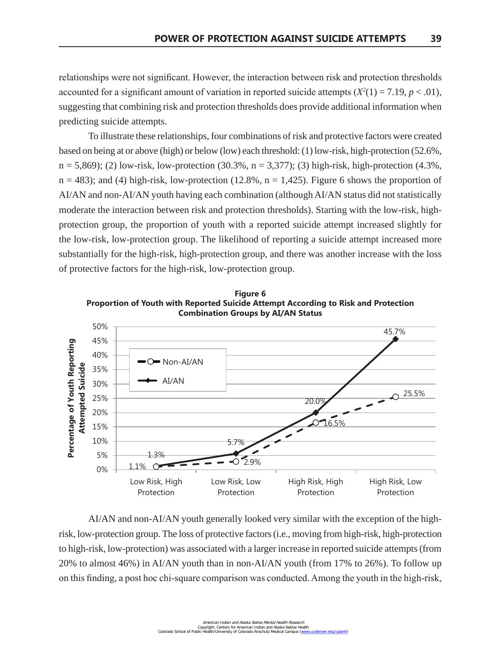relationships were not significant. However, the interaction between risk and protection thresholds accounted for a significant amount of variation in reported suicide attempts  $(X^2(1) = 7.19, p < .01)$ , suggesting that combining risk and protection thresholds does provide additional information when predicting suicide attempts.

To illustrate these relationships, four combinations of risk and protective factors were created based on being at or above (high) or below (low) each threshold: (1) low-risk, high-protection (52.6%,  $n = 5,869$ ; (2) low-risk, low-protection (30.3%,  $n = 3,377$ ); (3) high-risk, high-protection (4.3%,  $n = 483$ ); and (4) high-risk, low-protection (12.8%,  $n = 1,425$ ). Figure 6 shows the proportion of AI/AN and non-AI/AN youth having each combination (although AI/AN status did not statistically moderate the interaction between risk and protection thresholds). Starting with the low-risk, highprotection group, the proportion of youth with a reported suicide attempt increased slightly for the low-risk, low-protection group. The likelihood of reporting a suicide attempt increased more substantially for the high-risk, high-protection group, and there was another increase with the loss of protective factors for the high-risk, low-protection group.

**Figure 6 Proportion of Youth with Reported Suicide Attempt According to Risk and Protection Combination Groups by AI/AN Status**



AI/AN and non-AI/AN youth generally looked very similar with the exception of the highrisk, low-protection group. The loss of protective factors (i.e., moving from high-risk, high-protection to high-risk, low-protection) was associated with a larger increase in reported suicide attempts (from 20% to almost 46%) in AI/AN youth than in non-AI/AN youth (from 17% to 26%). To follow up on this finding, a post hoc chi-square comparison was conducted. Among the youth in the high-risk, **Risk/Protection Combination**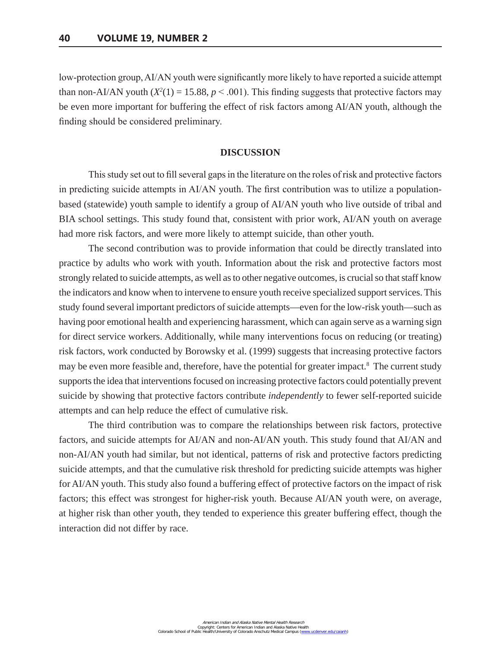low-protection group, AI/AN youth were significantly more likely to have reported a suicide attempt than non-AI/AN youth  $(X^2(1) = 15.88, p < .001)$ . This finding suggests that protective factors may be even more important for buffering the effect of risk factors among AI/AN youth, although the finding should be considered preliminary.

# **Discussion**

This study set out to fill several gaps in the literature on the roles of risk and protective factors in predicting suicide attempts in AI/AN youth. The first contribution was to utilize a populationbased (statewide) youth sample to identify a group of AI/AN youth who live outside of tribal and BIA school settings. This study found that, consistent with prior work, AI/AN youth on average had more risk factors, and were more likely to attempt suicide, than other youth.

The second contribution was to provide information that could be directly translated into practice by adults who work with youth. Information about the risk and protective factors most strongly related to suicide attempts, as well as to other negative outcomes, is crucial so that staff know the indicators and know when to intervene to ensure youth receive specialized support services. This study found several important predictors of suicide attempts—even for the low-risk youth—such as having poor emotional health and experiencing harassment, which can again serve as a warning sign for direct service workers. Additionally, while many interventions focus on reducing (or treating) risk factors, work conducted by Borowsky et al. (1999) suggests that increasing protective factors may be even more feasible and, therefore, have the potential for greater impact.<sup>8</sup> The current study supports the idea that interventions focused on increasing protective factors could potentially prevent suicide by showing that protective factors contribute *independently* to fewer self-reported suicide attempts and can help reduce the effect of cumulative risk.

The third contribution was to compare the relationships between risk factors, protective factors, and suicide attempts for AI/AN and non-AI/AN youth. This study found that AI/AN and non-AI/AN youth had similar, but not identical, patterns of risk and protective factors predicting suicide attempts, and that the cumulative risk threshold for predicting suicide attempts was higher for AI/AN youth. This study also found a buffering effect of protective factors on the impact of risk factors; this effect was strongest for higher-risk youth. Because AI/AN youth were, on average, at higher risk than other youth, they tended to experience this greater buffering effect, though the interaction did not differ by race.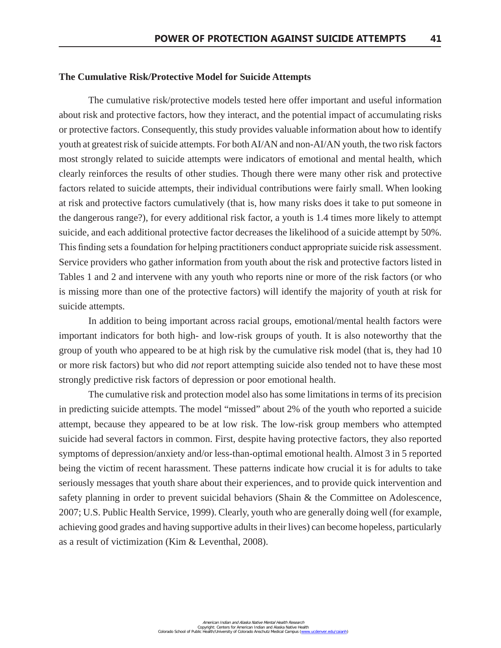#### **The Cumulative Risk/Protective Model for Suicide Attempts**

The cumulative risk/protective models tested here offer important and useful information about risk and protective factors, how they interact, and the potential impact of accumulating risks or protective factors. Consequently, this study provides valuable information about how to identify youth at greatest risk of suicide attempts. For both AI/AN and non-AI/AN youth, the two risk factors most strongly related to suicide attempts were indicators of emotional and mental health, which clearly reinforces the results of other studies. Though there were many other risk and protective factors related to suicide attempts, their individual contributions were fairly small. When looking at risk and protective factors cumulatively (that is, how many risks does it take to put someone in the dangerous range?), for every additional risk factor, a youth is 1.4 times more likely to attempt suicide, and each additional protective factor decreases the likelihood of a suicide attempt by 50%. This finding sets a foundation for helping practitioners conduct appropriate suicide risk assessment. Service providers who gather information from youth about the risk and protective factors listed in Tables 1 and 2 and intervene with any youth who reports nine or more of the risk factors (or who is missing more than one of the protective factors) will identify the majority of youth at risk for suicide attempts.

In addition to being important across racial groups, emotional/mental health factors were important indicators for both high- and low-risk groups of youth. It is also noteworthy that the group of youth who appeared to be at high risk by the cumulative risk model (that is, they had 10 or more risk factors) but who did *not* report attempting suicide also tended not to have these most strongly predictive risk factors of depression or poor emotional health.

The cumulative risk and protection model also has some limitations in terms of its precision in predicting suicide attempts. The model "missed" about 2% of the youth who reported a suicide attempt, because they appeared to be at low risk. The low-risk group members who attempted suicide had several factors in common. First, despite having protective factors, they also reported symptoms of depression/anxiety and/or less-than-optimal emotional health. Almost 3 in 5 reported being the victim of recent harassment. These patterns indicate how crucial it is for adults to take seriously messages that youth share about their experiences, and to provide quick intervention and safety planning in order to prevent suicidal behaviors (Shain & the Committee on Adolescence, 2007; U.S. Public Health Service, 1999). Clearly, youth who are generally doing well (for example, achieving good grades and having supportive adults in their lives) can become hopeless, particularly as a result of victimization (Kim & Leventhal, 2008).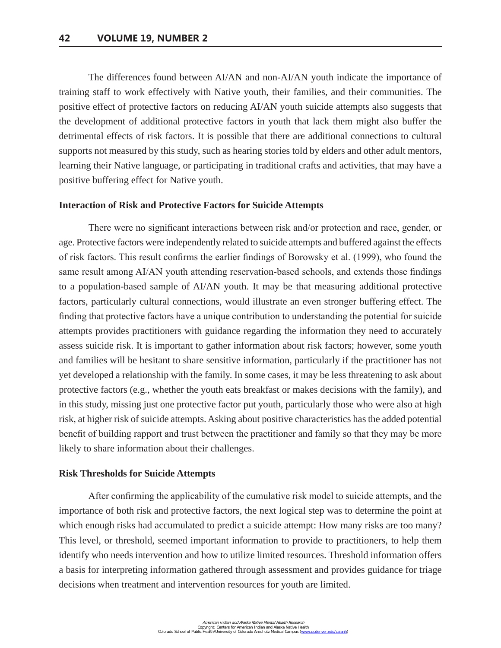The differences found between AI/AN and non-AI/AN youth indicate the importance of training staff to work effectively with Native youth, their families, and their communities. The positive effect of protective factors on reducing AI/AN youth suicide attempts also suggests that the development of additional protective factors in youth that lack them might also buffer the detrimental effects of risk factors. It is possible that there are additional connections to cultural supports not measured by this study, such as hearing stories told by elders and other adult mentors, learning their Native language, or participating in traditional crafts and activities, that may have a positive buffering effect for Native youth.

#### **Interaction of Risk and Protective Factors for Suicide Attempts**

There were no significant interactions between risk and/or protection and race, gender, or age. Protective factors were independently related to suicide attempts and buffered against the effects of risk factors. This result confirms the earlier findings of Borowsky et al. (1999), who found the same result among AI/AN youth attending reservation-based schools, and extends those findings to a population-based sample of AI/AN youth. It may be that measuring additional protective factors, particularly cultural connections, would illustrate an even stronger buffering effect. The finding that protective factors have a unique contribution to understanding the potential for suicide attempts provides practitioners with guidance regarding the information they need to accurately assess suicide risk. It is important to gather information about risk factors; however, some youth and families will be hesitant to share sensitive information, particularly if the practitioner has not yet developed a relationship with the family. In some cases, it may be less threatening to ask about protective factors (e.g., whether the youth eats breakfast or makes decisions with the family), and in this study, missing just one protective factor put youth, particularly those who were also at high risk, at higher risk of suicide attempts. Asking about positive characteristics has the added potential benefit of building rapport and trust between the practitioner and family so that they may be more likely to share information about their challenges.

#### **Risk Thresholds for Suicide Attempts**

After confirming the applicability of the cumulative risk model to suicide attempts, and the importance of both risk and protective factors, the next logical step was to determine the point at which enough risks had accumulated to predict a suicide attempt: How many risks are too many? This level, or threshold, seemed important information to provide to practitioners, to help them identify who needs intervention and how to utilize limited resources. Threshold information offers a basis for interpreting information gathered through assessment and provides guidance for triage decisions when treatment and intervention resources for youth are limited.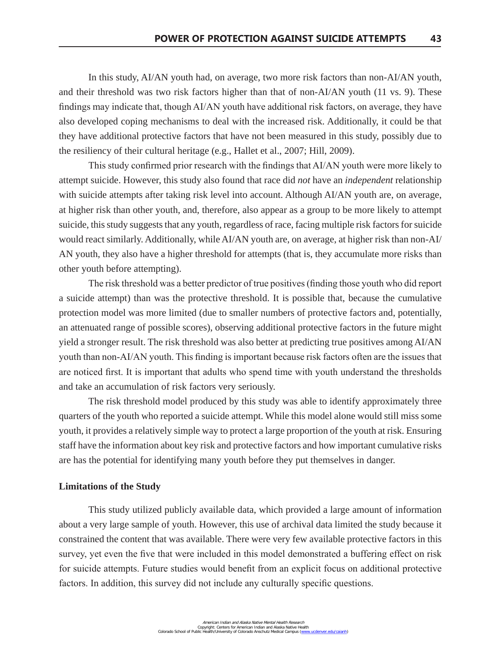In this study, AI/AN youth had, on average, two more risk factors than non-AI/AN youth, and their threshold was two risk factors higher than that of non-AI/AN youth (11 vs. 9). These findings may indicate that, though AI/AN youth have additional risk factors, on average, they have also developed coping mechanisms to deal with the increased risk. Additionally, it could be that they have additional protective factors that have not been measured in this study, possibly due to the resiliency of their cultural heritage (e.g., Hallet et al., 2007; Hill, 2009).

This study confirmed prior research with the findings that AI/AN youth were more likely to attempt suicide. However, this study also found that race did *not* have an *independent* relationship with suicide attempts after taking risk level into account. Although AI/AN youth are, on average, at higher risk than other youth, and, therefore, also appear as a group to be more likely to attempt suicide, this study suggests that any youth, regardless of race, facing multiple risk factors for suicide would react similarly. Additionally, while AI/AN youth are, on average, at higher risk than non-AI/ AN youth, they also have a higher threshold for attempts (that is, they accumulate more risks than other youth before attempting).

The risk threshold was a better predictor of true positives (finding those youth who did report a suicide attempt) than was the protective threshold. It is possible that, because the cumulative protection model was more limited (due to smaller numbers of protective factors and, potentially, an attenuated range of possible scores), observing additional protective factors in the future might yield a stronger result. The risk threshold was also better at predicting true positives among AI/AN youth than non-AI/AN youth. This finding is important because risk factors often are the issues that are noticed first. It is important that adults who spend time with youth understand the thresholds and take an accumulation of risk factors very seriously.

The risk threshold model produced by this study was able to identify approximately three quarters of the youth who reported a suicide attempt. While this model alone would still miss some youth, it provides a relatively simple way to protect a large proportion of the youth at risk. Ensuring staff have the information about key risk and protective factors and how important cumulative risks are has the potential for identifying many youth before they put themselves in danger.

# **Limitations of the Study**

This study utilized publicly available data, which provided a large amount of information about a very large sample of youth. However, this use of archival data limited the study because it constrained the content that was available. There were very few available protective factors in this survey, yet even the five that were included in this model demonstrated a buffering effect on risk for suicide attempts. Future studies would benefit from an explicit focus on additional protective factors. In addition, this survey did not include any culturally specific questions.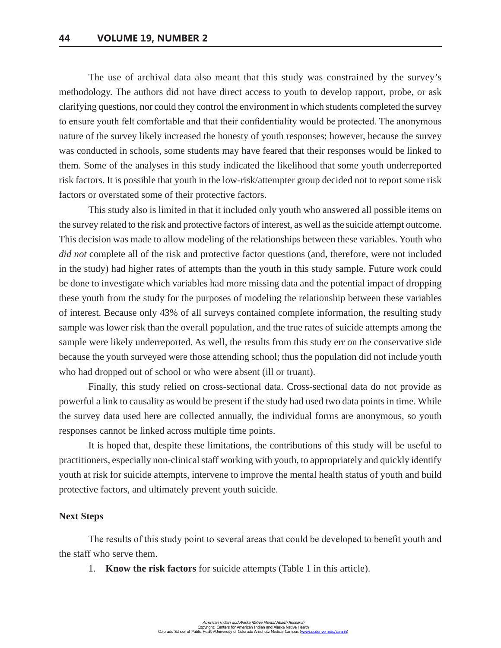The use of archival data also meant that this study was constrained by the survey's methodology. The authors did not have direct access to youth to develop rapport, probe, or ask clarifying questions, nor could they control the environment in which students completed the survey to ensure youth felt comfortable and that their confidentiality would be protected. The anonymous nature of the survey likely increased the honesty of youth responses; however, because the survey was conducted in schools, some students may have feared that their responses would be linked to them. Some of the analyses in this study indicated the likelihood that some youth underreported risk factors. It is possible that youth in the low-risk/attempter group decided not to report some risk factors or overstated some of their protective factors.

This study also is limited in that it included only youth who answered all possible items on the survey related to the risk and protective factors of interest, as well as the suicide attempt outcome. This decision was made to allow modeling of the relationships between these variables. Youth who *did not* complete all of the risk and protective factor questions (and, therefore, were not included in the study) had higher rates of attempts than the youth in this study sample. Future work could be done to investigate which variables had more missing data and the potential impact of dropping these youth from the study for the purposes of modeling the relationship between these variables of interest. Because only 43% of all surveys contained complete information, the resulting study sample was lower risk than the overall population, and the true rates of suicide attempts among the sample were likely underreported. As well, the results from this study err on the conservative side because the youth surveyed were those attending school; thus the population did not include youth who had dropped out of school or who were absent (ill or truant).

Finally, this study relied on cross-sectional data. Cross-sectional data do not provide as powerful a link to causality as would be present if the study had used two data points in time. While the survey data used here are collected annually, the individual forms are anonymous, so youth responses cannot be linked across multiple time points.

It is hoped that, despite these limitations, the contributions of this study will be useful to practitioners, especially non-clinical staff working with youth, to appropriately and quickly identify youth at risk for suicide attempts, intervene to improve the mental health status of youth and build protective factors, and ultimately prevent youth suicide.

#### **Next Steps**

The results of this study point to several areas that could be developed to benefit youth and the staff who serve them.

1. **Know the risk factors** for suicide attempts (Table 1 in this article).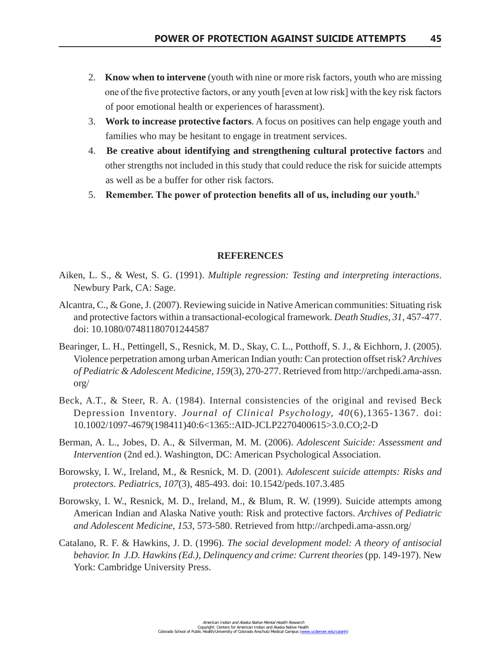- 2. **Know when to intervene** (youth with nine or more risk factors, youth who are missing one of the five protective factors, or any youth [even at low risk] with the key risk factors of poor emotional health or experiences of harassment).
- 3. **Work to increase protective factors**. A focus on positives can help engage youth and families who may be hesitant to engage in treatment services.
- 4. **Be creative about identifying and strengthening cultural protective factors** and other strengths not included in this study that could reduce the risk for suicide attempts as well as be a buffer for other risk factors.
- 5. **Remember. The power of protection benefits all of us, including our youth.**<sup>9</sup>

# **References**

- Aiken, L. S., & West, S. G. (1991). *Multiple regression: Testing and interpreting interactions*. Newbury Park, CA: Sage.
- Alcantra, C., & Gone, J. (2007). Reviewing suicide in Native American communities: Situating risk and protective factors within a transactional-ecological framework. *Death Studies, 31*, 457-477. doi: 10.1080/07481180701244587
- Bearinger, L. H., Pettingell, S., Resnick, M. D., Skay, C. L., Potthoff, S. J., & Eichhorn, J. (2005). Violence perpetration among urban American Indian youth: Can protection offset risk? *Archives of Pediatric & Adolescent Medicine, 159*(3), 270-277. Retrieved from http://archpedi.ama-assn. org/
- Beck, A.T., & Steer, R. A. (1984). Internal consistencies of the original and revised Beck Depression Inventory. *Journal of Clinical Psychology, 40*(6),1365-1367. doi: 10.1002/1097-4679(198411)40:6<1365::AID-JCLP2270400615>3.0.CO;2-D
- Berman, A. L., Jobes, D. A., & Silverman, M. M. (2006). *Adolescent Suicide: Assessment and Intervention* (2nd ed.). Washington, DC: American Psychological Association.
- Borowsky, I. W., Ireland, M., & Resnick, M. D. (2001). *Adolescent suicide attempts: Risks and protectors. Pediatrics, 107*(3), 485-493. doi: 10.1542/peds.107.3.485
- Borowsky, I. W., Resnick, M. D., Ireland, M., & Blum, R. W. (1999). Suicide attempts among American Indian and Alaska Native youth: Risk and protective factors. *Archives of Pediatric and Adolescent Medicine, 153*, 573-580. Retrieved from http://archpedi.ama-assn.org/
- Catalano, R. F. & Hawkins, J. D. (1996). *The social development model: A theory of antisocial behavior. In J.D. Hawkins (Ed.), Delinquency and crime: Current theories* (pp. 149-197). New York: Cambridge University Press.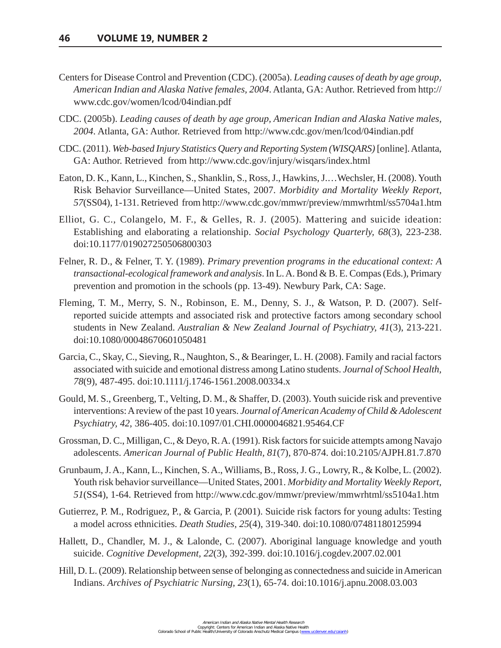- Centers for Disease Control and Prevention (CDC). (2005a). *Leading causes of death by age group, American Indian and Alaska Native females, 2004*. Atlanta, GA: Author. Retrieved from http:// www.cdc.gov/women/lcod/04indian.pdf
- CDC. (2005b). *Leading causes of death by age group, American Indian and Alaska Native males, 2004*. Atlanta, GA: Author. Retrieved from http://www.cdc.gov/men/lcod/04indian.pdf
- CDC. (2011). *Web-based Injury Statistics Query and Reporting System (WISQARS)* [online]. Atlanta, GA: Author. Retrieved from http://www.cdc.gov/injury/wisqars/index.html
- Eaton, D. K., Kann, L., Kinchen, S., Shanklin, S., Ross, J., Hawkins, J.…Wechsler, H. (2008). Youth Risk Behavior Surveillance—United States, 2007. *Morbidity and Mortality Weekly Report, 57*(SS04), 1-131. Retrieved from http://www.cdc.gov/mmwr/preview/mmwrhtml/ss5704a1.htm
- Elliot, G. C., Colangelo, M. F., & Gelles, R. J. (2005). Mattering and suicide ideation: Establishing and elaborating a relationship. *Social Psychology Quarterly, 68*(3), 223-238. doi:10.1177/019027250506800303
- Felner, R. D., & Felner, T. Y. (1989). *Primary prevention programs in the educational context: A transactional-ecological framework and analysis*. In L. A. Bond & B. E. Compas (Eds.), Primary prevention and promotion in the schools (pp. 13-49). Newbury Park, CA: Sage.
- Fleming, T. M., Merry, S. N., Robinson, E. M., Denny, S. J., & Watson, P. D. (2007). Selfreported suicide attempts and associated risk and protective factors among secondary school students in New Zealand. *Australian & New Zealand Journal of Psychiatry, 41*(3), 213-221. doi:10.1080/00048670601050481
- Garcia, C., Skay, C., Sieving, R., Naughton, S., & Bearinger, L. H. (2008). Family and racial factors associated with suicide and emotional distress among Latino students. *Journal of School Health, 78*(9), 487-495. doi:10.1111/j.1746-1561.2008.00334.x
- Gould, M. S., Greenberg, T., Velting, D. M., & Shaffer, D. (2003). Youth suicide risk and preventive interventions: A review of the past 10 years. *Journal of American Academy of Child & Adolescent Psychiatry, 42*, 386-405. doi:10.1097/01.CHI.0000046821.95464.CF
- Grossman, D. C., Milligan, C., & Deyo, R. A. (1991). Risk factors for suicide attempts among Navajo adolescents. *American Journal of Public Health, 81*(7), 870-874. doi:10.2105/AJPH.81.7.870
- Grunbaum, J. A., Kann, L., Kinchen, S. A., Williams, B., Ross, J. G., Lowry, R., & Kolbe, L. (2002). Youth risk behavior surveillance—United States, 2001. *Morbidity and Mortality Weekly Report, 51*(SS4), 1-64. Retrieved from http://www.cdc.gov/mmwr/preview/mmwrhtml/ss5104a1.htm
- Gutierrez, P. M., Rodriguez, P., & Garcia, P. (2001). Suicide risk factors for young adults: Testing a model across ethnicities. *Death Studies, 25*(4), 319-340. doi:10.1080/07481180125994
- Hallett, D., Chandler, M. J., & Lalonde, C. (2007). Aboriginal language knowledge and youth suicide. *Cognitive Development, 22*(3), 392-399. doi:10.1016/j.cogdev.2007.02.001
- Hill, D. L. (2009). Relationship between sense of belonging as connectedness and suicide in American Indians. *Archives of Psychiatric Nursing, 23*(1), 65-74. doi:10.1016/j.apnu.2008.03.003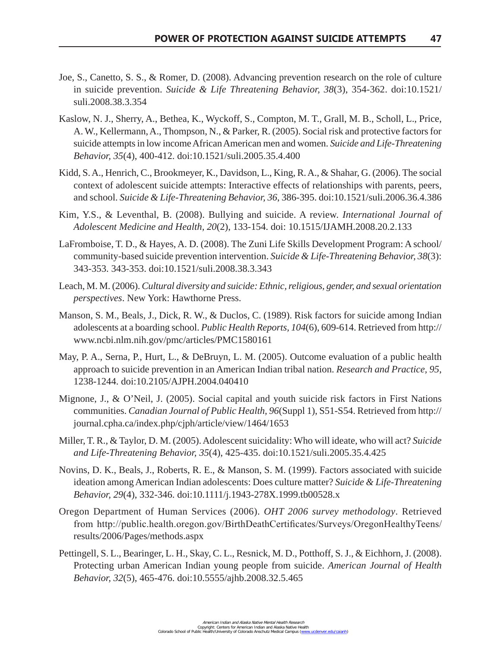- Joe, S., Canetto, S. S., & Romer, D. (2008). Advancing prevention research on the role of culture in suicide prevention. *Suicide & Life Threatening Behavior, 38*(3), 354-362. doi:10.1521/ suli.2008.38.3.354
- Kaslow, N. J., Sherry, A., Bethea, K., Wyckoff, S., Compton, M. T., Grall, M. B., Scholl, L., Price, A. W., Kellermann, A., Thompson, N., & Parker, R. (2005). Social risk and protective factors for suicide attempts in low income African American men and women. *Suicide and Life-Threatening Behavior, 35*(4), 400-412. doi:10.1521/suli.2005.35.4.400
- Kidd, S. A., Henrich, C., Brookmeyer, K., Davidson, L., King, R. A., & Shahar, G. (2006). The social context of adolescent suicide attempts: Interactive effects of relationships with parents, peers, and school. *Suicide & Life-Threatening Behavior, 36*, 386-395. doi:10.1521/suli.2006.36.4.386
- Kim, Y.S., & Leventhal, B. (2008). Bullying and suicide. A review. *International Journal of Adolescent Medicine and Health, 20*(2), 133-154. doi: 10.1515/IJAMH.2008.20.2.133
- LaFromboise, T. D., & Hayes, A. D. (2008). The Zuni Life Skills Development Program: A school/ community-based suicide prevention intervention. *Suicide & Life-Threatening Behavior, 38*(3): 343-353. 343-353. doi:10.1521/suli.2008.38.3.343
- Leach, M. M. (2006). *Cultural diversity and suicide: Ethnic, religious, gender, and sexual orientation perspectives*. New York: Hawthorne Press.
- Manson, S. M., Beals, J., Dick, R. W., & Duclos, C. (1989). Risk factors for suicide among Indian adolescents at a boarding school. *Public Health Reports, 104*(6), 609-614. Retrieved from http:// www.ncbi.nlm.nih.gov/pmc/articles/PMC1580161
- May, P. A., Serna, P., Hurt, L., & DeBruyn, L. M. (2005). Outcome evaluation of a public health approach to suicide prevention in an American Indian tribal nation. *Research and Practice, 95*, 1238-1244. doi:10.2105/AJPH.2004.040410
- Mignone, J., & O'Neil, J. (2005). Social capital and youth suicide risk factors in First Nations communities. *Canadian Journal of Public Health, 96*(Suppl 1), S51-S54. Retrieved from http:// journal.cpha.ca/index.php/cjph/article/view/1464/1653
- Miller, T. R., & Taylor, D. M. (2005). Adolescent suicidality: Who will ideate, who will act? *Suicide and Life-Threatening Behavior, 35*(4), 425-435. doi:10.1521/suli.2005.35.4.425
- Novins, D. K., Beals, J., Roberts, R. E., & Manson, S. M. (1999). Factors associated with suicide ideation among American Indian adolescents: Does culture matter? *Suicide & Life-Threatening Behavior, 29*(4), 332-346. doi:10.1111/j.1943-278X.1999.tb00528.x
- Oregon Department of Human Services (2006). *OHT 2006 survey methodology*. Retrieved from http://public.health.oregon.gov/BirthDeathCertificates/Surveys/OregonHealthyTeens/ results/2006/Pages/methods.aspx
- Pettingell, S. L., Bearinger, L. H., Skay, C. L., Resnick, M. D., Potthoff, S. J., & Eichhorn, J. (2008). Protecting urban American Indian young people from suicide. *American Journal of Health Behavior, 32*(5), 465-476. doi:10.5555/ajhb.2008.32.5.465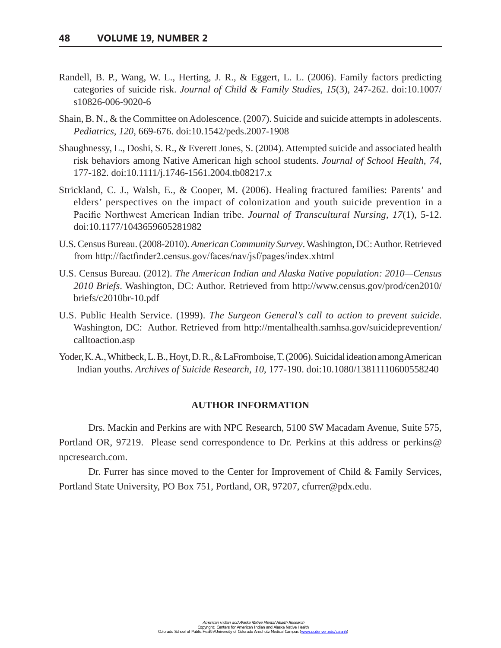- Randell, B. P., Wang, W. L., Herting, J. R., & Eggert, L. L. (2006). Family factors predicting categories of suicide risk. *Journal of Child & Family Studies, 15*(3), 247-262. doi:10.1007/ s10826-006-9020-6
- Shain, B. N., & the Committee on Adolescence. (2007). Suicide and suicide attempts in adolescents. *Pediatrics, 120*, 669-676. doi:10.1542/peds.2007-1908
- Shaughnessy, L., Doshi, S. R., & Everett Jones, S. (2004). Attempted suicide and associated health risk behaviors among Native American high school students. *Journal of School Health, 74*, 177-182. doi:10.1111/j.1746-1561.2004.tb08217.x
- Strickland, C. J., Walsh, E., & Cooper, M. (2006). Healing fractured families: Parents' and elders' perspectives on the impact of colonization and youth suicide prevention in a Pacific Northwest American Indian tribe. *Journal of Transcultural Nursing, 17*(1), 5-12. doi:10.1177/1043659605281982
- U.S. Census Bureau. (2008-2010). *American Community Survey*. Washington, DC: Author. Retrieved from http://factfinder2.census.gov/faces/nav/jsf/pages/index.xhtml
- U.S. Census Bureau. (2012). *The American Indian and Alaska Native population: 2010—Census 2010 Briefs*. Washington, DC: Author. Retrieved from http://www.census.gov/prod/cen2010/ briefs/c2010br-10.pdf
- U.S. Public Health Service. (1999). *The Surgeon General's call to action to prevent suicide*. Washington, DC: Author. Retrieved from http://mentalhealth.samhsa.gov/suicideprevention/ calltoaction.asp
- Yoder, K. A., Whitbeck, L. B., Hoyt, D. R., & LaFromboise, T. (2006). Suicidal ideation among American Indian youths. *Archives of Suicide Research, 10*, 177-190. doi:10.1080/13811110600558240

# **Author Information**

Drs. Mackin and Perkins are with NPC Research, 5100 SW Macadam Avenue, Suite 575, Portland OR, 97219. Please send correspondence to Dr. Perkins at this address or perkins@ npcresearch.com.

Dr. Furrer has since moved to the Center for Improvement of Child & Family Services, Portland State University, PO Box 751, Portland, OR, 97207, cfurrer@pdx.edu.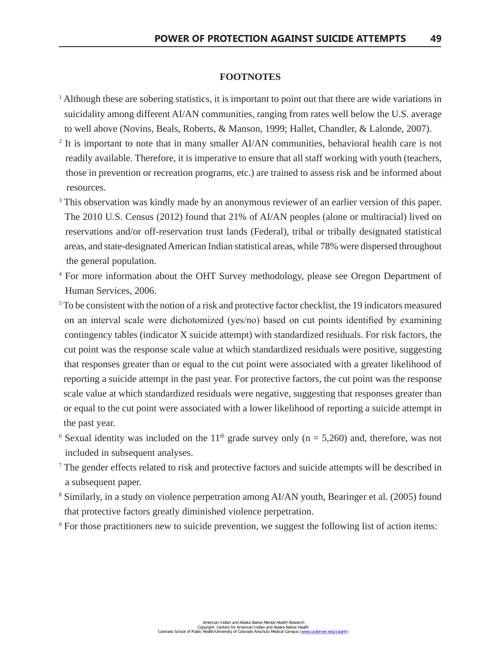### **Footnotes**

- <sup>1</sup> Although these are sobering statistics, it is important to point out that there are wide variations in suicidality among different AI/AN communities, ranging from rates well below the U.S. average to well above (Novins, Beals, Roberts, & Manson, 1999; Hallet, Chandler, & Lalonde, 2007).
- <sup>2</sup> It is important to note that in many smaller AI/AN communities, behavioral health care is not readily available. Therefore, it is imperative to ensure that all staff working with youth (teachers, those in prevention or recreation programs, etc.) are trained to assess risk and be informed about resources.
- <sup>3</sup> This observation was kindly made by an anonymous reviewer of an earlier version of this paper. The 2010 U.S. Census (2012) found that 21% of AI/AN peoples (alone or multiracial) lived on reservations and/or off-reservation trust lands (Federal), tribal or tribally designated statistical areas, and state-designated American Indian statistical areas, while 78% were dispersed throughout the general population.
- <sup>4</sup> For more information about the OHT Survey methodology, please see Oregon Department of Human Services, 2006.
- <sup>5</sup>To be consistent with the notion of a risk and protective factor checklist, the 19 indicators measured on an interval scale were dichotomized (yes/no) based on cut points identified by examining contingency tables (indicator X suicide attempt) with standardized residuals. For risk factors, the cut point was the response scale value at which standardized residuals were positive, suggesting that responses greater than or equal to the cut point were associated with a greater likelihood of reporting a suicide attempt in the past year. For protective factors, the cut point was the response scale value at which standardized residuals were negative, suggesting that responses greater than or equal to the cut point were associated with a lower likelihood of reporting a suicide attempt in the past year.
- <sup>6</sup> Sexual identity was included on the  $11<sup>th</sup>$  grade survey only (n = 5,260) and, therefore, was not included in subsequent analyses.
- <sup>7</sup> The gender effects related to risk and protective factors and suicide attempts will be described in a subsequent paper.
- <sup>8</sup> Similarly, in a study on violence perpetration among AI/AN youth, Bearinger et al. (2005) found that protective factors greatly diminished violence perpetration.
- <sup>9</sup> For those practitioners new to suicide prevention, we suggest the following list of action items: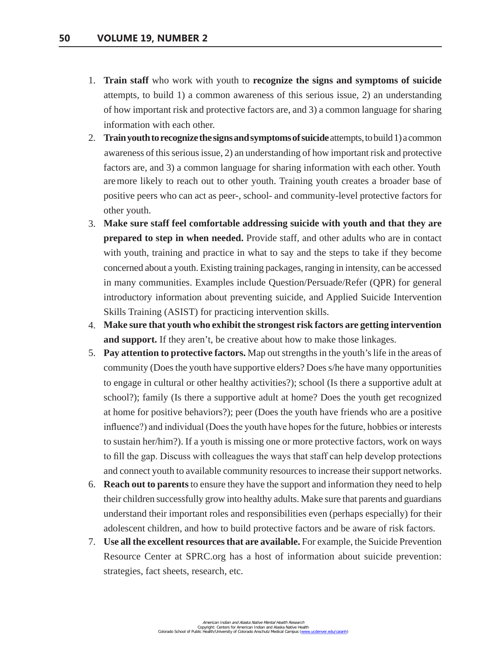- 1. **Train staff** who work with youth to **recognize the signs and symptoms of suicide**  attempts, to build 1) a common awareness of this serious issue, 2) an understanding of how important risk and protective factors are, and 3) a common language for sharing information with each other.
- 2. **Train youth to recognize the signs and symptoms of suicide** attempts, to build 1) a common awareness of this serious issue, 2) an understanding of how important risk and protective factors are, and 3) a common language for sharing information with each other. Youth aremore likely to reach out to other youth. Training youth creates a broader base of positive peers who can act as peer-, school- and community-level protective factors for other youth.
- 3. **Make sure staff feel comfortable addressing suicide with youth and that they are prepared to step in when needed.** Provide staff, and other adults who are in contact with youth, training and practice in what to say and the steps to take if they become concerned about a youth. Existing training packages, ranging in intensity, can be accessed in many communities. Examples include Question/Persuade/Refer (QPR) for general introductory information about preventing suicide, and Applied Suicide Intervention Skills Training (ASIST) for practicing intervention skills.
- 4. **Make sure that youth who exhibit the strongest risk factors are getting intervention and support.** If they aren't, be creative about how to make those linkages.
- 5. **Pay attention to protective factors.** Map out strengths in the youth's life in the areas of community (Does the youth have supportive elders? Does s/he have many opportunities to engage in cultural or other healthy activities?); school (Is there a supportive adult at school?); family (Is there a supportive adult at home? Does the youth get recognized at home for positive behaviors?); peer (Does the youth have friends who are a positive influence?) and individual (Does the youth have hopes for the future, hobbies or interests to sustain her/him?). If a youth is missing one or more protective factors, work on ways to fill the gap. Discuss with colleagues the ways that staff can help develop protections and connect youth to available community resources to increase their support networks.
- 6. **Reach out to parents** to ensure they have the support and information they need to help their children successfully grow into healthy adults. Make sure that parents and guardians understand their important roles and responsibilities even (perhaps especially) for their adolescent children, and how to build protective factors and be aware of risk factors.
- 7. **Use all the excellent resources that are available.** For example, the Suicide Prevention Resource Center at SPRC.org has a host of information about suicide prevention: strategies, fact sheets, research, etc.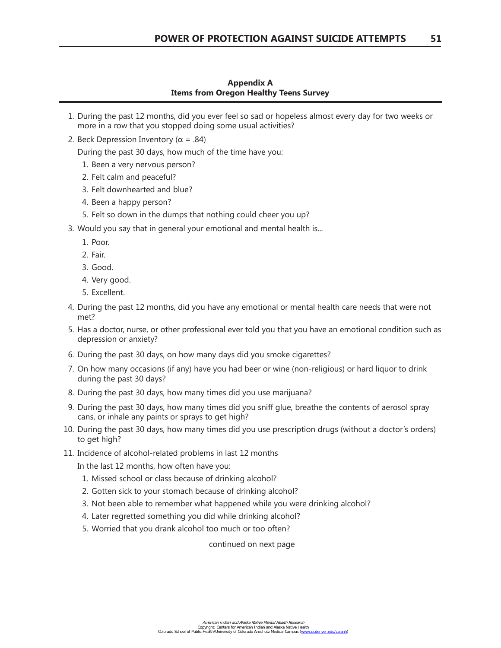# **Appendix A Items from Oregon Healthy Teens Survey**

- 1. During the past 12 months, did you ever feel so sad or hopeless almost every day for two weeks or more in a row that you stopped doing some usual activities?
- 2. Beck Depression Inventory ( $\alpha$  = .84)

During the past 30 days, how much of the time have you:

- 1. Been a very nervous person?
- 2. Felt calm and peaceful?
- 3. Felt downhearted and blue?
- 4. Been a happy person?
- 5. Felt so down in the dumps that nothing could cheer you up?
- 3. Would you say that in general your emotional and mental health is...
	- 1. Poor.
	- 2. Fair.
	- 3. Good.
	- 4. Very good.
	- 5. Excellent.
- 4. During the past 12 months, did you have any emotional or mental health care needs that were not met?
- 5. Has a doctor, nurse, or other professional ever told you that you have an emotional condition such as depression or anxiety?
- 6. During the past 30 days, on how many days did you smoke cigarettes?
- 7. On how many occasions (if any) have you had beer or wine (non-religious) or hard liquor to drink during the past 30 days?
- 8. During the past 30 days, how many times did you use marijuana?
- 9. During the past 30 days, how many times did you sniff glue, breathe the contents of aerosol spray cans, or inhale any paints or sprays to get high?
- 10. During the past 30 days, how many times did you use prescription drugs (without a doctor's orders) to get high?
- 11. Incidence of alcohol-related problems in last 12 months

In the last 12 months, how often have you:

- 1. Missed school or class because of drinking alcohol?
- 2. Gotten sick to your stomach because of drinking alcohol?
- 3. Not been able to remember what happened while you were drinking alcohol?
- 4. Later regretted something you did while drinking alcohol?
- 5. Worried that you drank alcohol too much or too often?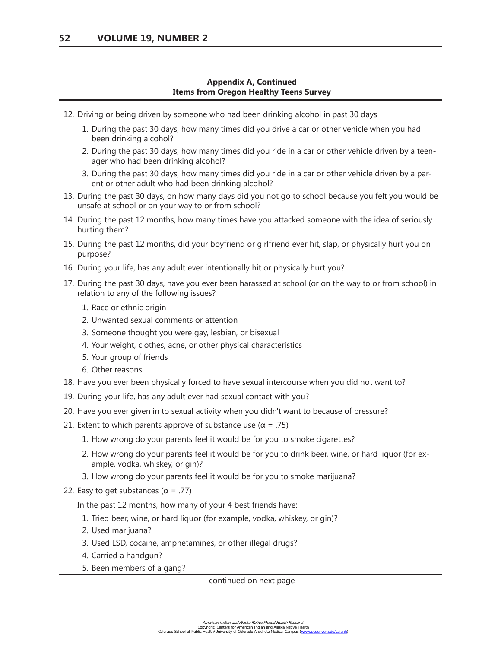# **Appendix A, Continued Items from Oregon Healthy Teens Survey**

- 12. Driving or being driven by someone who had been drinking alcohol in past 30 days
	- 1. During the past 30 days, how many times did you drive a car or other vehicle when you had been drinking alcohol?
	- 2. During the past 30 days, how many times did you ride in a car or other vehicle driven by a teenager who had been drinking alcohol?
	- 3. During the past 30 days, how many times did you ride in a car or other vehicle driven by a parent or other adult who had been drinking alcohol?
- 13. During the past 30 days, on how many days did you not go to school because you felt you would be unsafe at school or on your way to or from school?
- 14. During the past 12 months, how many times have you attacked someone with the idea of seriously hurting them?
- 15. During the past 12 months, did your boyfriend or girlfriend ever hit, slap, or physically hurt you on purpose?
- 16. During your life, has any adult ever intentionally hit or physically hurt you?
- 17. During the past 30 days, have you ever been harassed at school (or on the way to or from school) in relation to any of the following issues?
	- 1. Race or ethnic origin
	- 2. Unwanted sexual comments or attention
	- 3. Someone thought you were gay, lesbian, or bisexual
	- 4. Your weight, clothes, acne, or other physical characteristics
	- 5. Your group of friends
	- 6. Other reasons
- 18. Have you ever been physically forced to have sexual intercourse when you did not want to?
- 19. During your life, has any adult ever had sexual contact with you?
- 20. Have you ever given in to sexual activity when you didn't want to because of pressure?
- 21. Extent to which parents approve of substance use ( $\alpha$  = .75)
	- 1. How wrong do your parents feel it would be for you to smoke cigarettes?
	- 2. How wrong do your parents feel it would be for you to drink beer, wine, or hard liquor (for example, vodka, whiskey, or gin)?
	- 3. How wrong do your parents feel it would be for you to smoke marijuana?
- 22. Easy to get substances ( $\alpha$  = .77)

In the past 12 months, how many of your 4 best friends have:

- 1. Tried beer, wine, or hard liquor (for example, vodka, whiskey, or gin)?
- 2. Used marijuana?
- 3. Used LSD, cocaine, amphetamines, or other illegal drugs?
- 4. Carried a handgun?
- 5. Been members of a gang?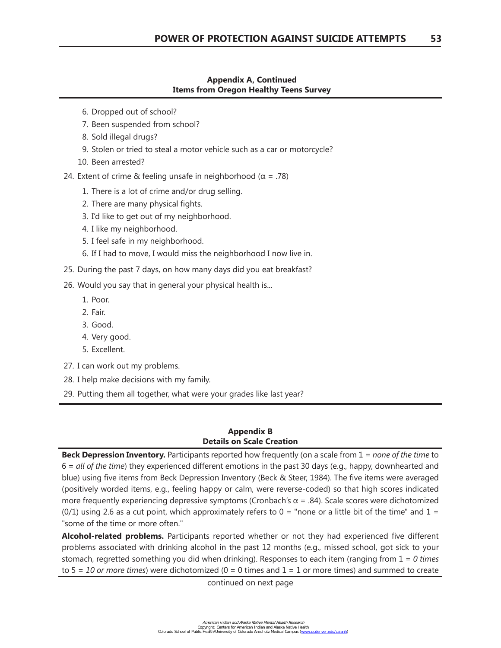# **Appendix A, Continued Items from Oregon Healthy Teens Survey**

- 6. Dropped out of school?
- 7. Been suspended from school?
- 8. Sold illegal drugs?
- 9. Stolen or tried to steal a motor vehicle such as a car or motorcycle?
- 10. Been arrested?
- 24. Extent of crime & feeling unsafe in neighborhood ( $\alpha$  = .78)
	- 1. There is a lot of crime and/or drug selling.
	- 2. There are many physical fights.
	- 3. I'd like to get out of my neighborhood.
	- 4. I like my neighborhood.
	- 5. I feel safe in my neighborhood.
	- 6. If I had to move, I would miss the neighborhood I now live in.
- 25. During the past 7 days, on how many days did you eat breakfast?
- 26. Would you say that in general your physical health is...
	- 1. Poor.
	- 2. Fair.
	- 3. Good.
	- 4. Very good.
	- 5. Excellent.
- 27. I can work out my problems.
- 28. I help make decisions with my family.
- 29. Putting them all together, what were your grades like last year?

# **Appendix B Details on Scale Creation**

**Beck Depression Inventory.** Participants reported how frequently (on a scale from 1 = *none of the time* to 6 = *all of the time*) they experienced different emotions in the past 30 days (e.g., happy, downhearted and blue) using five items from Beck Depression Inventory (Beck & Steer, 1984). The five items were averaged (positively worded items, e.g., feeling happy or calm, were reverse-coded) so that high scores indicated more frequently experiencing depressive symptoms (Cronbach's  $\alpha = .84$ ). Scale scores were dichotomized (0/1) using 2.6 as a cut point, which approximately refers to  $0 =$  "none or a little bit of the time" and  $1 =$ "some of the time or more often."

**Alcohol-related problems.** Participants reported whether or not they had experienced five different problems associated with drinking alcohol in the past 12 months (e.g., missed school, got sick to your stomach, regretted something you did when drinking). Responses to each item (ranging from 1 = *0 times*  to 5 = *10 or more times*) were dichotomized (0 = 0 times and 1 = 1 or more times) and summed to create